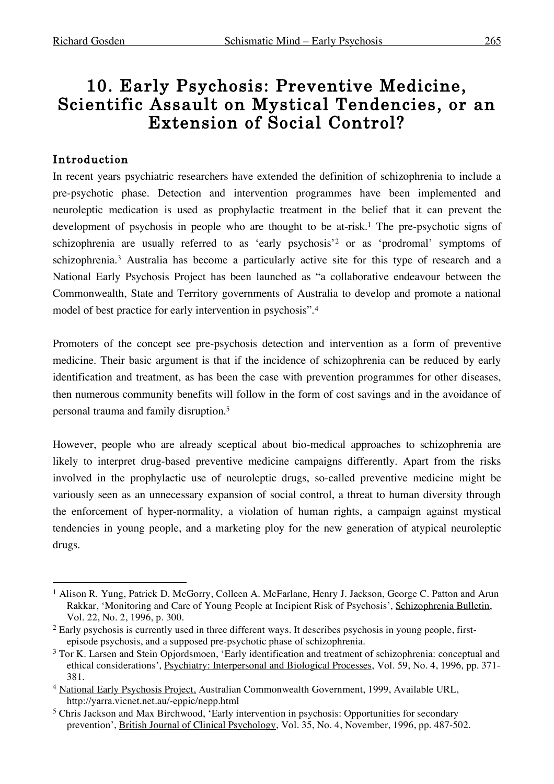# 10. Early Psychosis: Preventive Medicine, Scientific Assault on Mystical Tendencies, or an Extension of Social Control?

# Introduction

In recent years psychiatric researchers have extended the definition of schizophrenia to include a pre-psychotic phase. Detection and intervention programmes have been implemented and neuroleptic medication is used as prophylactic treatment in the belief that it can prevent the development of psychosis in people who are thought to be at-risk.<sup>1</sup> The pre-psychotic signs of schizophrenia are usually referred to as 'early psychosis'2 or as 'prodromal' symptoms of schizophrenia. <sup>3</sup> Australia has become a particularly active site for this type of research and a National Early Psychosis Project has been launched as "a collaborative endeavour between the Commonwealth, State and Territory governments of Australia to develop and promote a national model of best practice for early intervention in psychosis".4

Promoters of the concept see pre-psychosis detection and intervention as a form of preventive medicine. Their basic argument is that if the incidence of schizophrenia can be reduced by early identification and treatment, as has been the case with prevention programmes for other diseases, then numerous community benefits will follow in the form of cost savings and in the avoidance of personal trauma and family disruption. 5

However, people who are already sceptical about bio-medical approaches to schizophrenia are likely to interpret drug-based preventive medicine campaigns differently. Apart from the risks involved in the prophylactic use of neuroleptic drugs, so-called preventive medicine might be variously seen as an unnecessary expansion of social control, a threat to human diversity through the enforcement of hyper-normality, a violation of human rights, a campaign against mystical tendencies in young people, and a marketing ploy for the new generation of atypical neuroleptic drugs.

<sup>&</sup>lt;sup>1</sup> Alison R. Yung, Patrick D. McGorry, Colleen A. McFarlane, Henry J. Jackson, George C. Patton and Arun Rakkar, 'Monitoring and Care of Young People at Incipient Risk of Psychosis', Schizophrenia Bulletin, Vol. 22, No. 2, 1996, p. 300.

<sup>&</sup>lt;sup>2</sup> Early psychosis is currently used in three different ways. It describes psychosis in young people, firstepisode psychosis, and a supposed pre-psychotic phase of schizophrenia.

<sup>&</sup>lt;sup>3</sup> Tor K. Larsen and Stein Opjordsmoen, 'Early identification and treatment of schizophrenia: conceptual and ethical considerations', Psychiatry: Interpersonal and Biological Processes, Vol. 59, No. 4, 1996, pp. 371- 381.

<sup>4</sup> National Early Psychosis Project, Australian Commonwealth Government, 1999, Available URL, http://yarra.vicnet.net.au/-eppic/nepp.html

<sup>5</sup> Chris Jackson and Max Birchwood, 'Early intervention in psychosis: Opportunities for secondary prevention', British Journal of Clinical Psychology, Vol. 35, No. 4, November, 1996, pp. 487-502.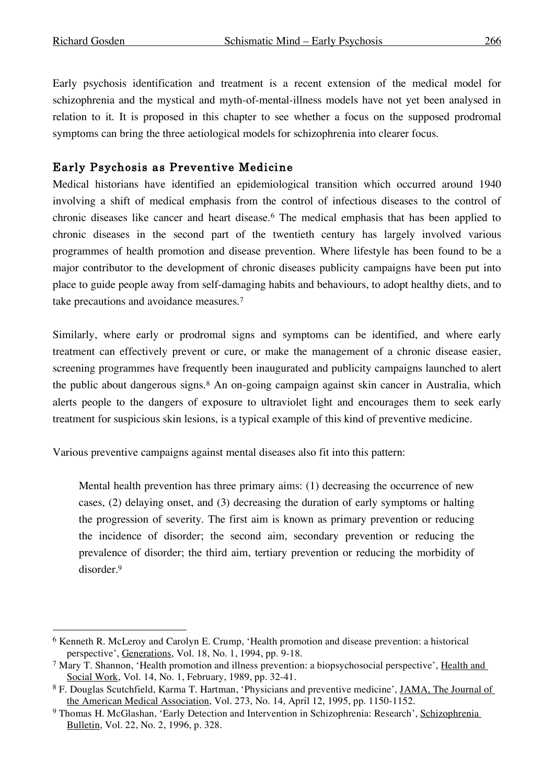Early psychosis identification and treatment is a recent extension of the medical model for schizophrenia and the mystical and myth-of-mental-illness models have not yet been analysed in relation to it. It is proposed in this chapter to see whether a focus on the supposed prodromal symptoms can bring the three aetiological models for schizophrenia into clearer focus.

# Early Psychosis as Preventive Medicine

Medical historians have identified an epidemiological transition which occurred around 1940 involving a shift of medical emphasis from the control of infectious diseases to the control of chronic diseases like cancer and heart disease.6 The medical emphasis that has been applied to chronic diseases in the second part of the twentieth century has largely involved various programmes of health promotion and disease prevention. Where lifestyle has been found to be a major contributor to the development of chronic diseases publicity campaigns have been put into place to guide people away from self-damaging habits and behaviours, to adopt healthy diets, and to take precautions and avoidance measures. 7

Similarly, where early or prodromal signs and symptoms can be identified, and where early treatment can effectively prevent or cure, or make the management of a chronic disease easier, screening programmes have frequently been inaugurated and publicity campaigns launched to alert the public about dangerous signs.<sup>8</sup> An on-going campaign against skin cancer in Australia, which alerts people to the dangers of exposure to ultraviolet light and encourages them to seek early treatment for suspicious skin lesions, is a typical example of this kind of preventive medicine.

Various preventive campaigns against mental diseases also fit into this pattern:

Mental health prevention has three primary aims: (1) decreasing the occurrence of new cases, (2) delaying onset, and (3) decreasing the duration of early symptoms or halting the progression of severity. The first aim is known as primary prevention or reducing the incidence of disorder; the second aim, secondary prevention or reducing the prevalence of disorder; the third aim, tertiary prevention or reducing the morbidity of disorder. 9

 <sup>6</sup> Kenneth R. McLeroy and Carolyn E. Crump, 'Health promotion and disease prevention: a historical perspective', Generations, Vol. 18, No. 1, 1994, pp. 9-18.

<sup>7</sup> Mary T. Shannon, 'Health promotion and illness prevention: a biopsychosocial perspective', Health and Social Work, Vol. 14, No. 1, February, 1989, pp. 32-41.

<sup>8</sup> F. Douglas Scutchfield, Karma T. Hartman, 'Physicians and preventive medicine', JAMA, The Journal of the American Medical Association, Vol. 273, No. 14, April 12, 1995, pp. 1150-1152.

<sup>9</sup> Thomas H. McGlashan, 'Early Detection and Intervention in Schizophrenia: Research', Schizophrenia Bulletin, Vol. 22, No. 2, 1996, p. 328.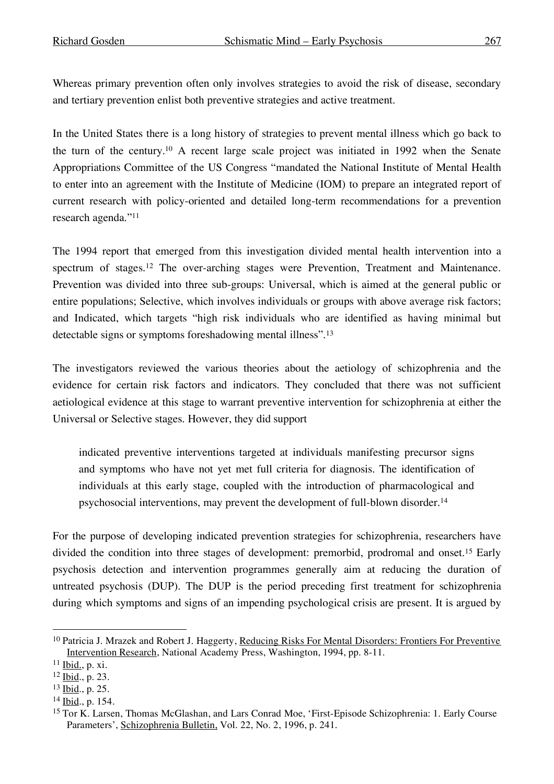Whereas primary prevention often only involves strategies to avoid the risk of disease, secondary and tertiary prevention enlist both preventive strategies and active treatment.

In the United States there is a long history of strategies to prevent mental illness which go back to the turn of the century.10 A recent large scale project was initiated in 1992 when the Senate Appropriations Committee of the US Congress "mandated the National Institute of Mental Health to enter into an agreement with the Institute of Medicine (IOM) to prepare an integrated report of current research with policy-oriented and detailed long-term recommendations for a prevention research agenda."11

The 1994 report that emerged from this investigation divided mental health intervention into a spectrum of stages. <sup>12</sup> The over-arching stages were Prevention, Treatment and Maintenance. Prevention was divided into three sub-groups: Universal, which is aimed at the general public or entire populations; Selective, which involves individuals or groups with above average risk factors; and Indicated, which targets "high risk individuals who are identified as having minimal but detectable signs or symptoms foreshadowing mental illness".13

The investigators reviewed the various theories about the aetiology of schizophrenia and the evidence for certain risk factors and indicators. They concluded that there was not sufficient aetiological evidence at this stage to warrant preventive intervention for schizophrenia at either the Universal or Selective stages. However, they did support

indicated preventive interventions targeted at individuals manifesting precursor signs and symptoms who have not yet met full criteria for diagnosis. The identification of individuals at this early stage, coupled with the introduction of pharmacological and psychosocial interventions, may prevent the development of full-blown disorder. 14

For the purpose of developing indicated prevention strategies for schizophrenia, researchers have divided the condition into three stages of development: premorbid, prodromal and onset.15 Early psychosis detection and intervention programmes generally aim at reducing the duration of untreated psychosis (DUP). The DUP is the period preceding first treatment for schizophrenia during which symptoms and signs of an impending psychological crisis are present. It is argued by

<sup>&</sup>lt;sup>10</sup> Patricia J. Mrazek and Robert J. Haggerty, Reducing Risks For Mental Disorders: Frontiers For Preventive Intervention Research, National Academy Press, Washington, 1994, pp. 8-11.

 $11$  Ibid., p. xi.

<sup>12</sup> Ibid., p. 23.

<sup>13</sup> Ibid., p. 25.

<sup>14</sup> Ibid., p. 154.

<sup>15</sup> Tor K. Larsen, Thomas McGlashan, and Lars Conrad Moe, 'First-Episode Schizophrenia: 1. Early Course Parameters', Schizophrenia Bulletin, Vol. 22, No. 2, 1996, p. 241.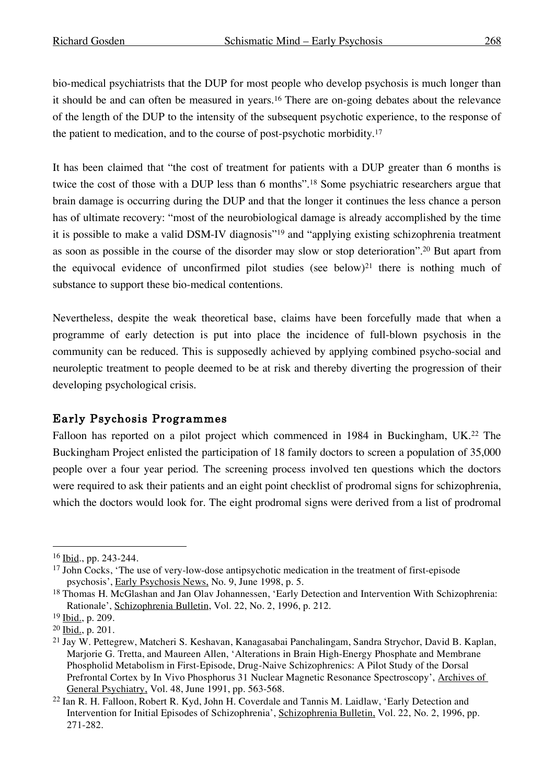bio-medical psychiatrists that the DUP for most people who develop psychosis is much longer than it should be and can often be measured in years.16 There are on-going debates about the relevance of the length of the DUP to the intensity of the subsequent psychotic experience, to the response of the patient to medication, and to the course of post-psychotic morbidity. 17

It has been claimed that "the cost of treatment for patients with a DUP greater than 6 months is twice the cost of those with a DUP less than 6 months". <sup>18</sup> Some psychiatric researchers argue that brain damage is occurring during the DUP and that the longer it continues the less chance a person has of ultimate recovery: "most of the neurobiological damage is already accomplished by the time it is possible to make a valid DSM-IV diagnosis"19 and "applying existing schizophrenia treatment as soon as possible in the course of the disorder may slow or stop deterioration". <sup>20</sup> But apart from the equivocal evidence of unconfirmed pilot studies (see below)21 there is nothing much of substance to support these bio-medical contentions.

Nevertheless, despite the weak theoretical base, claims have been forcefully made that when a programme of early detection is put into place the incidence of full-blown psychosis in the community can be reduced. This is supposedly achieved by applying combined psycho-social and neuroleptic treatment to people deemed to be at risk and thereby diverting the progression of their developing psychological crisis.

# Early Psychosis Programmes

Falloon has reported on a pilot project which commenced in 1984 in Buckingham, UK.<sup>22</sup> The Buckingham Project enlisted the participation of 18 family doctors to screen a population of 35,000 people over a four year period. The screening process involved ten questions which the doctors were required to ask their patients and an eight point checklist of prodromal signs for schizophrenia, which the doctors would look for. The eight prodromal signs were derived from a list of prodromal

 <sup>16</sup> Ibid., pp. 243-244.

<sup>&</sup>lt;sup>17</sup> John Cocks, 'The use of very-low-dose antipsychotic medication in the treatment of first-episode psychosis', Early Psychosis News, No. 9, June 1998, p. 5.

<sup>18</sup> Thomas H. McGlashan and Jan Olav Johannessen, 'Early Detection and Intervention With Schizophrenia: Rationale', Schizophrenia Bulletin, Vol. 22, No. 2, 1996, p. 212.

<sup>19</sup> Ibid., p. 209.

<sup>20</sup> Ibid., p. 201.

<sup>21</sup> Jay W. Pettegrew, Matcheri S. Keshavan, Kanagasabai Panchalingam, Sandra Strychor, David B. Kaplan, Marjorie G. Tretta, and Maureen Allen, 'Alterations in Brain High-Energy Phosphate and Membrane Phospholid Metabolism in First-Episode, Drug-Naive Schizophrenics: A Pilot Study of the Dorsal Prefrontal Cortex by In Vivo Phosphorus 31 Nuclear Magnetic Resonance Spectroscopy', Archives of General Psychiatry, Vol. 48, June 1991, pp. 563-568.

<sup>&</sup>lt;sup>22</sup> Ian R. H. Falloon, Robert R. Kyd, John H. Coverdale and Tannis M. Laidlaw, 'Early Detection and Intervention for Initial Episodes of Schizophrenia', Schizophrenia Bulletin, Vol. 22, No. 2, 1996, pp. 271-282.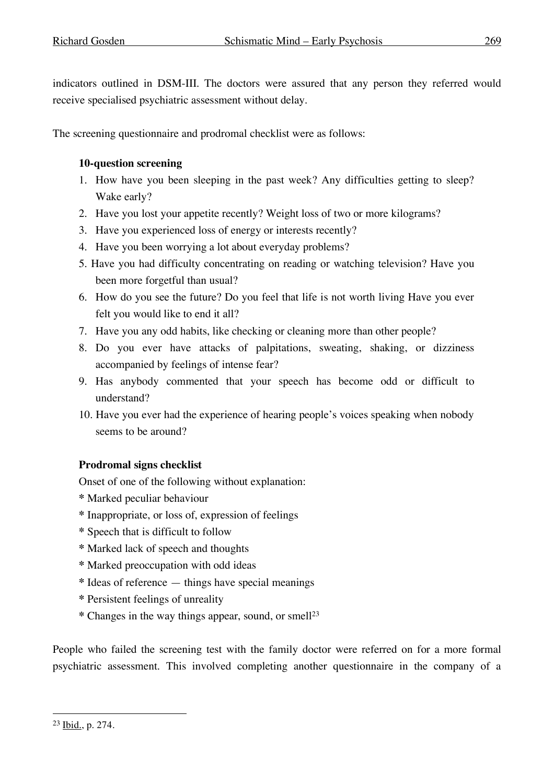indicators outlined in DSM-III. The doctors were assured that any person they referred would receive specialised psychiatric assessment without delay.

The screening questionnaire and prodromal checklist were as follows:

### **10-question screening**

- 1. How have you been sleeping in the past week? Any difficulties getting to sleep? Wake early?
- 2. Have you lost your appetite recently? Weight loss of two or more kilograms?
- 3. Have you experienced loss of energy or interests recently?
- 4. Have you been worrying a lot about everyday problems?
- 5. Have you had difficulty concentrating on reading or watching television? Have you been more forgetful than usual?
- 6. How do you see the future? Do you feel that life is not worth living Have you ever felt you would like to end it all?
- 7. Have you any odd habits, like checking or cleaning more than other people?
- 8. Do you ever have attacks of palpitations, sweating, shaking, or dizziness accompanied by feelings of intense fear?
- 9. Has anybody commented that your speech has become odd or difficult to understand?
- 10. Have you ever had the experience of hearing people's voices speaking when nobody seems to be around?

# **Prodromal signs checklist**

Onset of one of the following without explanation:

- **\*** Marked peculiar behaviour
- **\*** Inappropriate, or loss of, expression of feelings
- **\*** Speech that is difficult to follow
- **\*** Marked lack of speech and thoughts
- **\*** Marked preoccupation with odd ideas
- **\*** Ideas of reference things have special meanings
- **\*** Persistent feelings of unreality
- **\*** Changes in the way things appear, sound, or smell23

People who failed the screening test with the family doctor were referred on for a more formal psychiatric assessment. This involved completing another questionnaire in the company of a

 <sup>23</sup> Ibid., p. 274.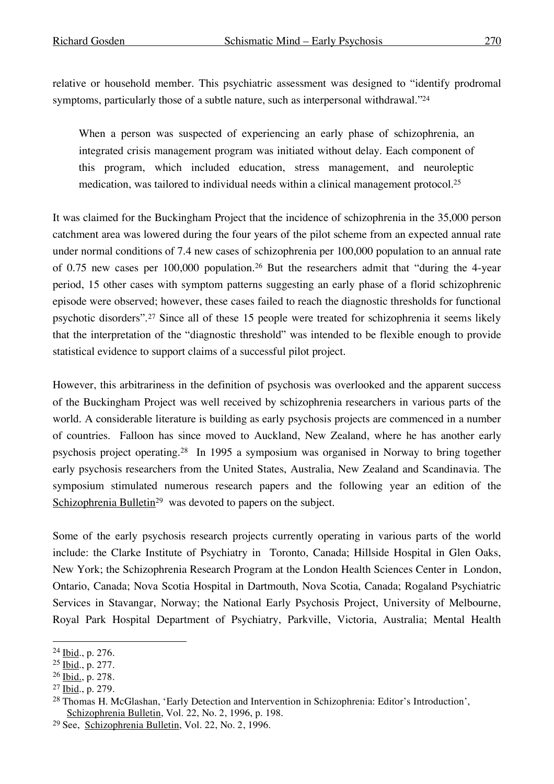relative or household member. This psychiatric assessment was designed to "identify prodromal symptoms, particularly those of a subtle nature, such as interpersonal withdrawal."<sup>24</sup>

When a person was suspected of experiencing an early phase of schizophrenia, an integrated crisis management program was initiated without delay. Each component of this program, which included education, stress management, and neuroleptic medication, was tailored to individual needs within a clinical management protocol. 25

It was claimed for the Buckingham Project that the incidence of schizophrenia in the 35,000 person catchment area was lowered during the four years of the pilot scheme from an expected annual rate under normal conditions of 7.4 new cases of schizophrenia per 100,000 population to an annual rate of 0.75 new cases per 100,000 population.26 But the researchers admit that "during the 4-year period, 15 other cases with symptom patterns suggesting an early phase of a florid schizophrenic episode were observed; however, these cases failed to reach the diagnostic thresholds for functional psychotic disorders".27 Since all of these 15 people were treated for schizophrenia it seems likely that the interpretation of the "diagnostic threshold" was intended to be flexible enough to provide statistical evidence to support claims of a successful pilot project.

However, this arbitrariness in the definition of psychosis was overlooked and the apparent success of the Buckingham Project was well received by schizophrenia researchers in various parts of the world. A considerable literature is building as early psychosis projects are commenced in a number of countries. Falloon has since moved to Auckland, New Zealand, where he has another early psychosis project operating.28 In 1995 a symposium was organised in Norway to bring together early psychosis researchers from the United States, Australia, New Zealand and Scandinavia. The symposium stimulated numerous research papers and the following year an edition of the Schizophrenia Bulletin<sup>29</sup> was devoted to papers on the subject.

Some of the early psychosis research projects currently operating in various parts of the world include: the Clarke Institute of Psychiatry in Toronto, Canada; Hillside Hospital in Glen Oaks, New York; the Schizophrenia Research Program at the London Health Sciences Center in London, Ontario, Canada; Nova Scotia Hospital in Dartmouth, Nova Scotia, Canada; Rogaland Psychiatric Services in Stavangar, Norway; the National Early Psychosis Project, University of Melbourne, Royal Park Hospital Department of Psychiatry, Parkville, Victoria, Australia; Mental Health

 <sup>24</sup> Ibid., p. 276.

<sup>25</sup> Ibid., p. 277.

<sup>26</sup> Ibid., p. 278.

<sup>27</sup> Ibid., p. 279.

<sup>28</sup> Thomas H. McGlashan, 'Early Detection and Intervention in Schizophrenia: Editor's Introduction', Schizophrenia Bulletin, Vol. 22, No. 2, 1996, p. 198.

<sup>29</sup> See, Schizophrenia Bulletin, Vol. 22, No. 2, 1996.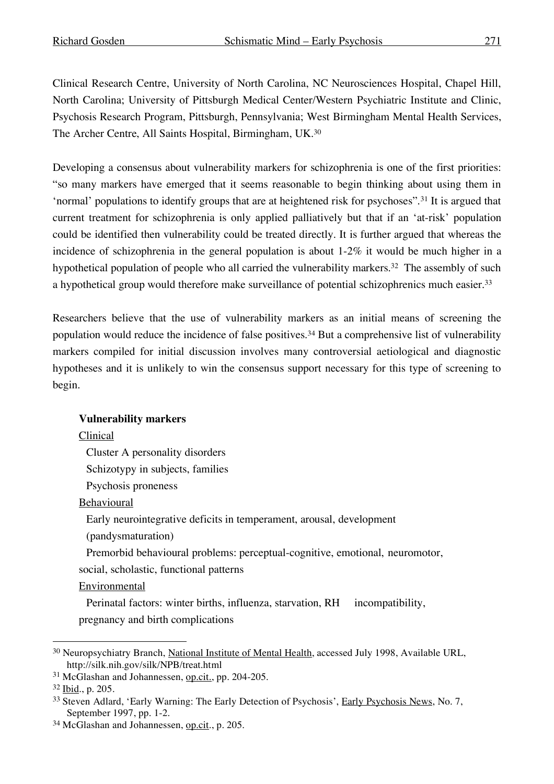Clinical Research Centre, University of North Carolina, NC Neurosciences Hospital, Chapel Hill, North Carolina; University of Pittsburgh Medical Center/Western Psychiatric Institute and Clinic, Psychosis Research Program, Pittsburgh, Pennsylvania; West Birmingham Mental Health Services, The Archer Centre, All Saints Hospital, Birmingham, UK.<sup>30</sup>

Developing a consensus about vulnerability markers for schizophrenia is one of the first priorities: "so many markers have emerged that it seems reasonable to begin thinking about using them in 'normal' populations to identify groups that are at heightened risk for psychoses".31 It is argued that current treatment for schizophrenia is only applied palliatively but that if an 'at-risk' population could be identified then vulnerability could be treated directly. It is further argued that whereas the incidence of schizophrenia in the general population is about  $1-2\%$  it would be much higher in a hypothetical population of people who all carried the vulnerability markers. <sup>32</sup> The assembly of such a hypothetical group would therefore make surveillance of potential schizophrenics much easier.<sup>33</sup>

Researchers believe that the use of vulnerability markers as an initial means of screening the population would reduce the incidence of false positives. <sup>34</sup> But a comprehensive list of vulnerability markers compiled for initial discussion involves many controversial aetiological and diagnostic hypotheses and it is unlikely to win the consensus support necessary for this type of screening to begin.

#### **Vulnerability markers**

Clinical

Cluster A personality disorders

Schizotypy in subjects, families

Psychosis proneness

**Behavioural** 

Early neurointegrative deficits in temperament, arousal, development

(pandysmaturation)

Premorbid behavioural problems: perceptual-cognitive, emotional, neuromotor,

social, scholastic, functional patterns

Environmental

Perinatal factors: winter births, influenza, starvation, RH incompatibility, pregnancy and birth complications

<sup>&</sup>lt;sup>30</sup> Neuropsychiatry Branch, National Institute of Mental Health, accessed July 1998, Available URL, http://silk.nih.gov/silk/NPB/treat.html

<sup>&</sup>lt;sup>31</sup> McGlashan and Johannessen, op.cit., pp. 204-205.

<sup>32</sup> Ibid., p. 205.

<sup>&</sup>lt;sup>33</sup> Steven Adlard, 'Early Warning: The Early Detection of Psychosis', Early Psychosis News, No. 7, September 1997, pp. 1-2.

<sup>&</sup>lt;sup>34</sup> McGlashan and Johannessen, op.cit., p. 205.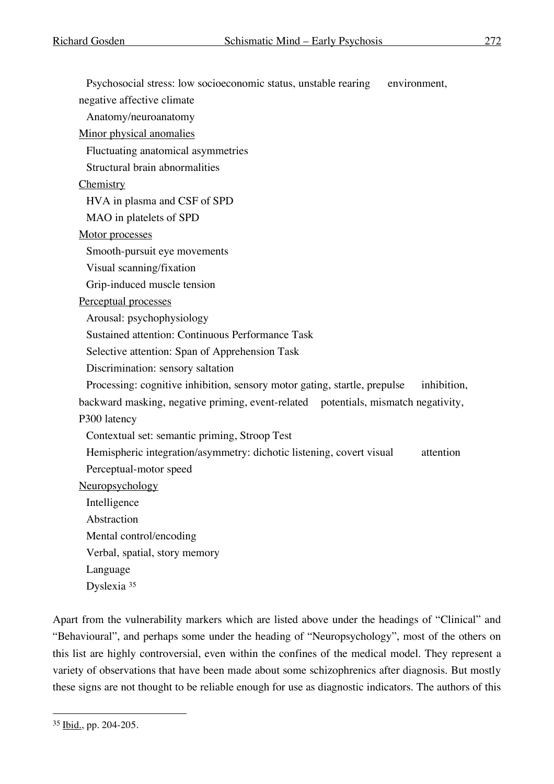Psychosocial stress: low socioeconomic status, unstable rearing environment, negative affective climate Anatomy/neuroanatomy Minor physical anomalies Fluctuating anatomical asymmetries Structural brain abnormalities **Chemistry** HVA in plasma and CSF of SPD MAO in platelets of SPD Motor processes Smooth-pursuit eye movements Visual scanning/fixation Grip-induced muscle tension Perceptual processes Arousal: psychophysiology Sustained attention: Continuous Performance Task Selective attention: Span of Apprehension Task Discrimination: sensory saltation Processing: cognitive inhibition, sensory motor gating, startle, prepulse inhibition, backward masking, negative priming, event-related potentials, mismatch negativity, P300 latency Contextual set: semantic priming, Stroop Test Hemispheric integration/asymmetry: dichotic listening, covert visual attention Perceptual-motor speed Neuropsychology Intelligence Abstraction Mental control/encoding Verbal, spatial, story memory Language Dyslexia <sup>35</sup>

Apart from the vulnerability markers which are listed above under the headings of "Clinical" and "Behavioural", and perhaps some under the heading of "Neuropsychology", most of the others on this list are highly controversial, even within the confines of the medical model. They represent a variety of observations that have been made about some schizophrenics after diagnosis. But mostly these signs are not thought to be reliable enough for use as diagnostic indicators. The authors of this

 <sup>35</sup> Ibid., pp. 204-205.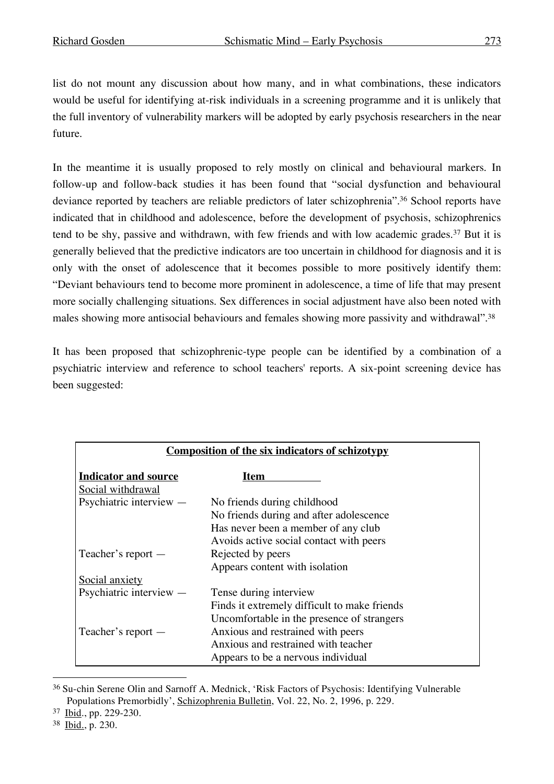list do not mount any discussion about how many, and in what combinations, these indicators would be useful for identifying at-risk individuals in a screening programme and it is unlikely that the full inventory of vulnerability markers will be adopted by early psychosis researchers in the near future.

In the meantime it is usually proposed to rely mostly on clinical and behavioural markers. In follow-up and follow-back studies it has been found that "social dysfunction and behavioural deviance reported by teachers are reliable predictors of later schizophrenia". <sup>36</sup> School reports have indicated that in childhood and adolescence, before the development of psychosis, schizophrenics tend to be shy, passive and withdrawn, with few friends and with low academic grades.37 But it is generally believed that the predictive indicators are too uncertain in childhood for diagnosis and it is only with the onset of adolescence that it becomes possible to more positively identify them: "Deviant behaviours tend to become more prominent in adolescence, a time of life that may present more socially challenging situations. Sex differences in social adjustment have also been noted with males showing more antisocial behaviours and females showing more passivity and withdrawal".<sup>38</sup>

It has been proposed that schizophrenic-type people can be identified by a combination of a psychiatric interview and reference to school teachers' reports. A six-point screening device has been suggested:

| <b>Composition of the six indicators of schizotypy</b> |                                              |  |  |
|--------------------------------------------------------|----------------------------------------------|--|--|
| <b>Indicator and source</b><br>Social withdrawal       | Item                                         |  |  |
| Psychiatric interview $-$                              | No friends during childhood                  |  |  |
|                                                        | No friends during and after adolescence      |  |  |
|                                                        | Has never been a member of any club          |  |  |
|                                                        | Avoids active social contact with peers      |  |  |
| Teacher's report -                                     | Rejected by peers                            |  |  |
|                                                        | Appears content with isolation               |  |  |
| Social anxiety                                         |                                              |  |  |
| Psychiatric interview $-$                              | Tense during interview                       |  |  |
|                                                        | Finds it extremely difficult to make friends |  |  |
|                                                        | Uncomfortable in the presence of strangers   |  |  |
| Teacher's report —                                     | Anxious and restrained with peers            |  |  |
|                                                        | Anxious and restrained with teacher          |  |  |
|                                                        | Appears to be a nervous individual           |  |  |

 <sup>36</sup> Su-chin Serene Olin and Sarnoff A. Mednick, 'Risk Factors of Psychosis: Identifying Vulnerable Populations Premorbidly', Schizophrenia Bulletin, Vol. 22, No. 2, 1996, p. 229.

<sup>37</sup> Ibid., pp. 229-230.

<sup>38</sup> Ibid., p. 230.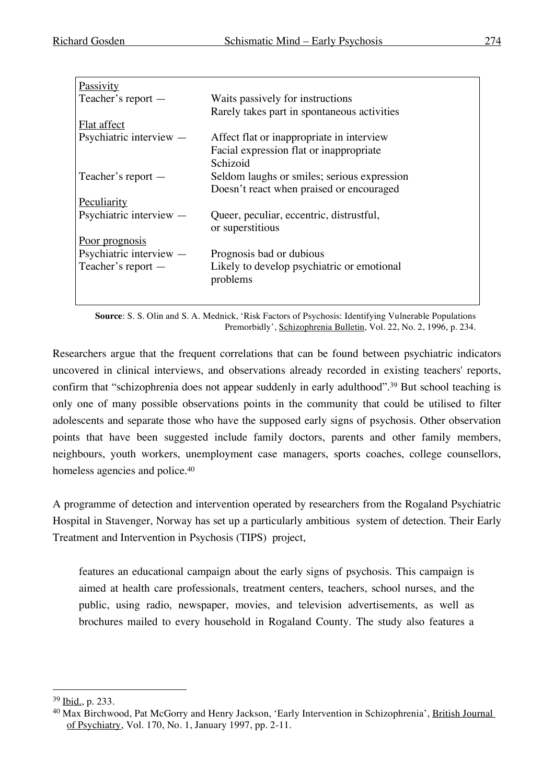| Passivity                 |                                             |  |
|---------------------------|---------------------------------------------|--|
| Teacher's report —        | Waits passively for instructions            |  |
|                           | Rarely takes part in spontaneous activities |  |
| Flat affect               |                                             |  |
| Psychiatric interview $-$ | Affect flat or inappropriate in interview   |  |
|                           | Facial expression flat or inappropriate     |  |
|                           | Schizoid                                    |  |
| Teacher's report —        | Seldom laughs or smiles; serious expression |  |
|                           | Doesn't react when praised or encouraged    |  |
| Peculiarity               |                                             |  |
| Psychiatric interview $-$ | Queer, peculiar, eccentric, distrustful,    |  |
|                           | or superstitious                            |  |
| <u>Poor prognosis</u>     |                                             |  |
| Psychiatric interview $-$ | Prognosis bad or dubious                    |  |
| Teacher's report —        | Likely to develop psychiatric or emotional  |  |
|                           | problems                                    |  |
|                           |                                             |  |
|                           |                                             |  |

**Source**: S. S. Olin and S. A. Mednick, 'Risk Factors of Psychosis: Identifying Vulnerable Populations Premorbidly', Schizophrenia Bulletin, Vol. 22, No. 2, 1996, p. 234.

Researchers argue that the frequent correlations that can be found between psychiatric indicators uncovered in clinical interviews, and observations already recorded in existing teachers' reports, confirm that "schizophrenia does not appear suddenly in early adulthood".<sup>39</sup> But school teaching is only one of many possible observations points in the community that could be utilised to filter adolescents and separate those who have the supposed early signs of psychosis. Other observation points that have been suggested include family doctors, parents and other family members, neighbours, youth workers, unemployment case managers, sports coaches, college counsellors, homeless agencies and police.<sup>40</sup>

A programme of detection and intervention operated by researchers from the Rogaland Psychiatric Hospital in Stavenger, Norway has set up a particularly ambitious system of detection. Their Early Treatment and Intervention in Psychosis (TIPS) project,

features an educational campaign about the early signs of psychosis. This campaign is aimed at health care professionals, treatment centers, teachers, school nurses, and the public, using radio, newspaper, movies, and television advertisements, as well as brochures mailed to every household in Rogaland County. The study also features a

 <sup>39</sup> Ibid., p. 233.

<sup>&</sup>lt;sup>40</sup> Max Birchwood, Pat McGorry and Henry Jackson, 'Early Intervention in Schizophrenia', British Journal of Psychiatry, Vol. 170, No. 1, January 1997, pp. 2-11.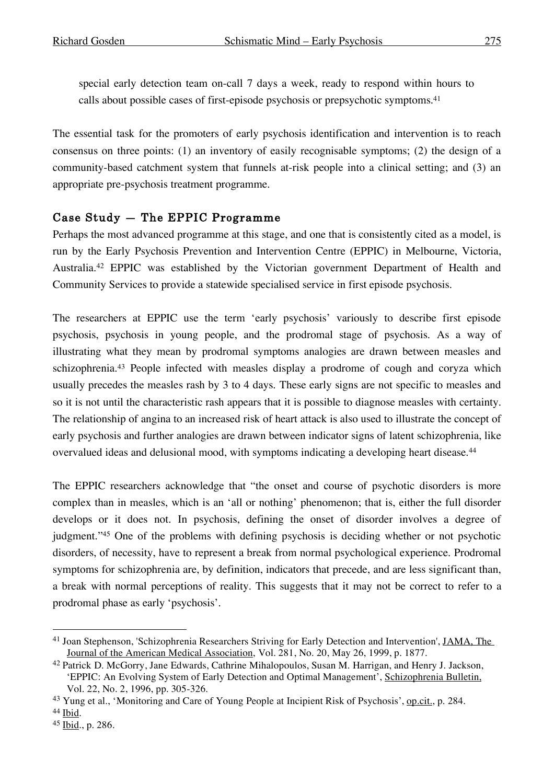special early detection team on-call 7 days a week, ready to respond within hours to calls about possible cases of first-episode psychosis or prepsychotic symptoms. 41

The essential task for the promoters of early psychosis identification and intervention is to reach consensus on three points: (1) an inventory of easily recognisable symptoms; (2) the design of a community-based catchment system that funnels at-risk people into a clinical setting; and (3) an appropriate pre-psychosis treatment programme.

# Case Study — The EPPIC Programme

Perhaps the most advanced programme at this stage, and one that is consistently cited as a model, is run by the Early Psychosis Prevention and Intervention Centre (EPPIC) in Melbourne, Victoria, Australia. <sup>42</sup> EPPIC was established by the Victorian government Department of Health and Community Services to provide a statewide specialised service in first episode psychosis.

The researchers at EPPIC use the term 'early psychosis' variously to describe first episode psychosis, psychosis in young people, and the prodromal stage of psychosis. As a way of illustrating what they mean by prodromal symptoms analogies are drawn between measles and schizophrenia.<sup>43</sup> People infected with measles display a prodrome of cough and coryza which usually precedes the measles rash by 3 to 4 days. These early signs are not specific to measles and so it is not until the characteristic rash appears that it is possible to diagnose measles with certainty. The relationship of angina to an increased risk of heart attack is also used to illustrate the concept of early psychosis and further analogies are drawn between indicator signs of latent schizophrenia, like overvalued ideas and delusional mood, with symptoms indicating a developing heart disease.44

The EPPIC researchers acknowledge that "the onset and course of psychotic disorders is more complex than in measles, which is an 'all or nothing' phenomenon; that is, either the full disorder develops or it does not. In psychosis, defining the onset of disorder involves a degree of judgment."45 One of the problems with defining psychosis is deciding whether or not psychotic disorders, of necessity, have to represent a break from normal psychological experience. Prodromal symptoms for schizophrenia are, by definition, indicators that precede, and are less significant than, a break with normal perceptions of reality. This suggests that it may not be correct to refer to a prodromal phase as early 'psychosis'.

<sup>&</sup>lt;sup>41</sup> Joan Stephenson, 'Schizophrenia Researchers Striving for Early Detection and Intervention', JAMA, The Journal of the American Medical Association, Vol. 281, No. 20, May 26, 1999, p. 1877.

<sup>42</sup> Patrick D. McGorry, Jane Edwards, Cathrine Mihalopoulos, Susan M. Harrigan, and Henry J. Jackson, 'EPPIC: An Evolving System of Early Detection and Optimal Management', Schizophrenia Bulletin, Vol. 22, No. 2, 1996, pp. 305-326.

<sup>43</sup> Yung et al., 'Monitoring and Care of Young People at Incipient Risk of Psychosis', op.cit., p. 284.

<sup>44</sup> Ibid.

<sup>45</sup> Ibid., p. 286.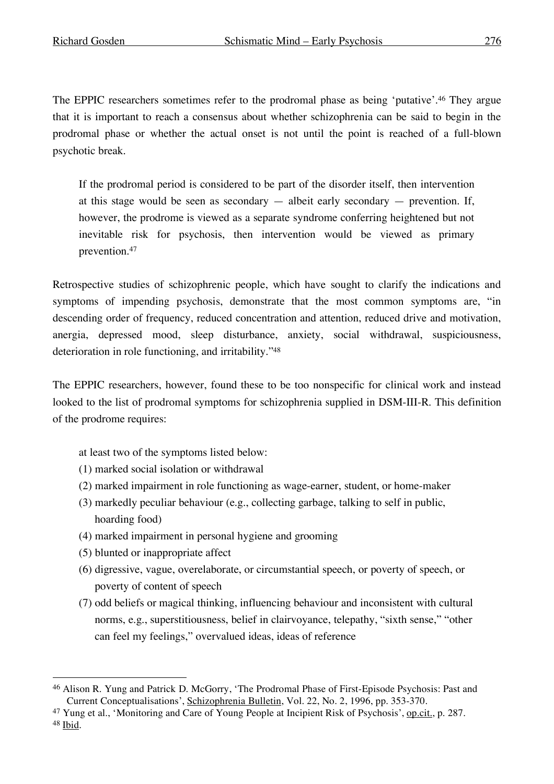The EPPIC researchers sometimes refer to the prodromal phase as being 'putative'. <sup>46</sup> They argue that it is important to reach a consensus about whether schizophrenia can be said to begin in the prodromal phase or whether the actual onset is not until the point is reached of a full-blown psychotic break.

If the prodromal period is considered to be part of the disorder itself, then intervention at this stage would be seen as secondary  $-$  albeit early secondary  $-$  prevention. If, however, the prodrome is viewed as a separate syndrome conferring heightened but not inevitable risk for psychosis, then intervention would be viewed as primary prevention.47

Retrospective studies of schizophrenic people, which have sought to clarify the indications and symptoms of impending psychosis, demonstrate that the most common symptoms are, "in descending order of frequency, reduced concentration and attention, reduced drive and motivation, anergia, depressed mood, sleep disturbance, anxiety, social withdrawal, suspiciousness, deterioration in role functioning, and irritability."48

The EPPIC researchers, however, found these to be too nonspecific for clinical work and instead looked to the list of prodromal symptoms for schizophrenia supplied in DSM-III-R. This definition of the prodrome requires:

at least two of the symptoms listed below:

- (1) marked social isolation or withdrawal
- (2) marked impairment in role functioning as wage-earner, student, or home-maker
- (3) markedly peculiar behaviour (e.g., collecting garbage, talking to self in public, hoarding food)
- (4) marked impairment in personal hygiene and grooming
- (5) blunted or inappropriate affect
- (6) digressive, vague, overelaborate, or circumstantial speech, or poverty of speech, or poverty of content of speech
- (7) odd beliefs or magical thinking, influencing behaviour and inconsistent with cultural norms, e.g., superstitiousness, belief in clairvoyance, telepathy, "sixth sense," "other can feel my feelings," overvalued ideas, ideas of reference

 <sup>46</sup> Alison R. Yung and Patrick D. McGorry, 'The Prodromal Phase of First-Episode Psychosis: Past and Current Conceptualisations', Schizophrenia Bulletin, Vol. 22, No. 2, 1996, pp. 353-370.

<sup>47</sup> Yung et al., 'Monitoring and Care of Young People at Incipient Risk of Psychosis', op.cit., p. 287. <sup>48</sup> Ibid.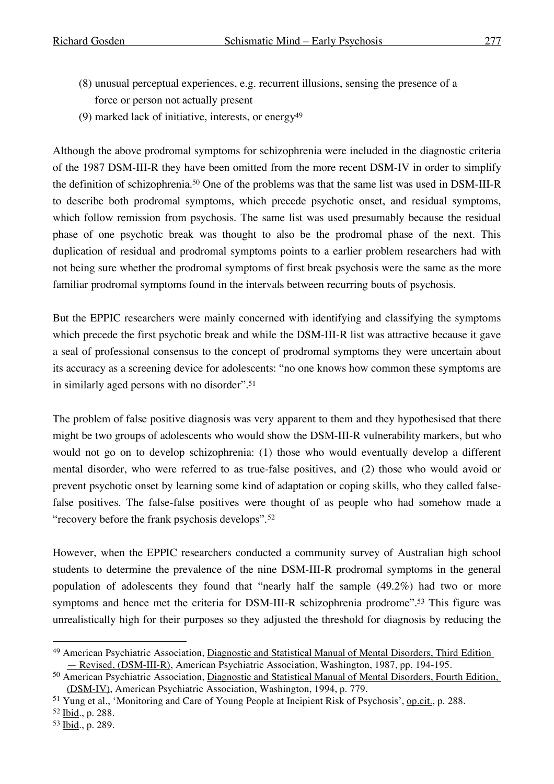- (8) unusual perceptual experiences, e.g. recurrent illusions, sensing the presence of a force or person not actually present
- (9) marked lack of initiative, interests, or energy<sup>49</sup>

Although the above prodromal symptoms for schizophrenia were included in the diagnostic criteria of the 1987 DSM-III-R they have been omitted from the more recent DSM-IV in order to simplify the definition of schizophrenia. <sup>50</sup> One of the problems was that the same list was used in DSM-III-R to describe both prodromal symptoms, which precede psychotic onset, and residual symptoms, which follow remission from psychosis. The same list was used presumably because the residual phase of one psychotic break was thought to also be the prodromal phase of the next. This duplication of residual and prodromal symptoms points to a earlier problem researchers had with not being sure whether the prodromal symptoms of first break psychosis were the same as the more familiar prodromal symptoms found in the intervals between recurring bouts of psychosis.

But the EPPIC researchers were mainly concerned with identifying and classifying the symptoms which precede the first psychotic break and while the DSM-III-R list was attractive because it gave a seal of professional consensus to the concept of prodromal symptoms they were uncertain about its accuracy as a screening device for adolescents: "no one knows how common these symptoms are in similarly aged persons with no disorder". 51

The problem of false positive diagnosis was very apparent to them and they hypothesised that there might be two groups of adolescents who would show the DSM-III-R vulnerability markers, but who would not go on to develop schizophrenia: (1) those who would eventually develop a different mental disorder, who were referred to as true-false positives, and (2) those who would avoid or prevent psychotic onset by learning some kind of adaptation or coping skills, who they called falsefalse positives. The false-false positives were thought of as people who had somehow made a "recovery before the frank psychosis develops".<sup>52</sup>

However, when the EPPIC researchers conducted a community survey of Australian high school students to determine the prevalence of the nine DSM-III-R prodromal symptoms in the general population of adolescents they found that "nearly half the sample (49.2%) had two or more symptoms and hence met the criteria for DSM-III-R schizophrenia prodrome".<sup>53</sup> This figure was unrealistically high for their purposes so they adjusted the threshold for diagnosis by reducing the

 <sup>49</sup> American Psychiatric Association, Diagnostic and Statistical Manual of Mental Disorders, Third Edition — Revised, (DSM-III-R), American Psychiatric Association, Washington, 1987, pp. 194-195.

<sup>50</sup> American Psychiatric Association, Diagnostic and Statistical Manual of Mental Disorders, Fourth Edition, (DSM-IV), American Psychiatric Association, Washington, 1994, p. 779.

<sup>51</sup> Yung et al., 'Monitoring and Care of Young People at Incipient Risk of Psychosis', op.cit., p. 288.

<sup>52</sup> Ibid., p. 288.

<sup>53</sup> Ibid., p. 289.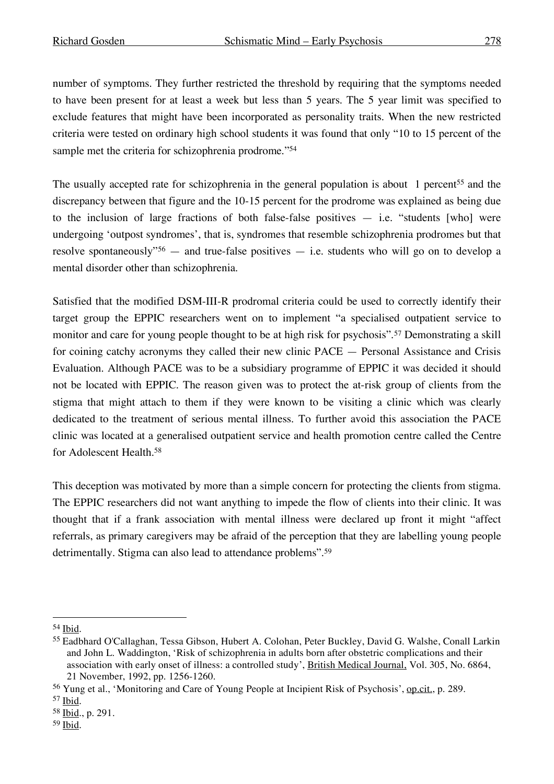number of symptoms. They further restricted the threshold by requiring that the symptoms needed to have been present for at least a week but less than 5 years. The 5 year limit was specified to exclude features that might have been incorporated as personality traits. When the new restricted criteria were tested on ordinary high school students it was found that only "10 to 15 percent of the sample met the criteria for schizophrenia prodrome."<sup>54</sup>

The usually accepted rate for schizophrenia in the general population is about 1 percent<sup>55</sup> and the discrepancy between that figure and the 10-15 percent for the prodrome was explained as being due to the inclusion of large fractions of both false-false positives  $-$  i.e. "students [who] were undergoing 'outpost syndromes', that is, syndromes that resemble schizophrenia prodromes but that resolve spontaneously"<sup>56</sup> — and true-false positives — i.e. students who will go on to develop a mental disorder other than schizophrenia.

Satisfied that the modified DSM-III-R prodromal criteria could be used to correctly identify their target group the EPPIC researchers went on to implement "a specialised outpatient service to monitor and care for young people thought to be at high risk for psychosis".57 Demonstrating a skill for coining catchy acronyms they called their new clinic PACE — Personal Assistance and Crisis Evaluation. Although PACE was to be a subsidiary programme of EPPIC it was decided it should not be located with EPPIC. The reason given was to protect the at-risk group of clients from the stigma that might attach to them if they were known to be visiting a clinic which was clearly dedicated to the treatment of serious mental illness. To further avoid this association the PACE clinic was located at a generalised outpatient service and health promotion centre called the Centre for Adolescent Health.58

This deception was motivated by more than a simple concern for protecting the clients from stigma. The EPPIC researchers did not want anything to impede the flow of clients into their clinic. It was thought that if a frank association with mental illness were declared up front it might "affect referrals, as primary caregivers may be afraid of the perception that they are labelling young people detrimentally. Stigma can also lead to attendance problems".<sup>59</sup>

 <sup>54</sup> Ibid.

<sup>55</sup> Eadbhard O'Callaghan, Tessa Gibson, Hubert A. Colohan, Peter Buckley, David G. Walshe, Conall Larkin and John L. Waddington, 'Risk of schizophrenia in adults born after obstetric complications and their association with early onset of illness: a controlled study', British Medical Journal, Vol. 305, No. 6864, 21 November, 1992, pp. 1256-1260.

<sup>56</sup> Yung et al., 'Monitoring and Care of Young People at Incipient Risk of Psychosis', op.cit., p. 289.

<sup>57</sup> Ibid.

<sup>58</sup> Ibid., p. 291.

<sup>59</sup> Ibid.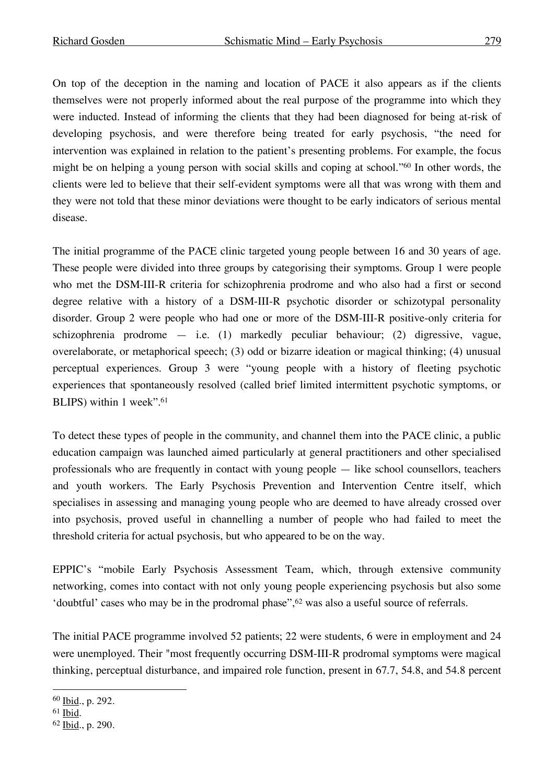On top of the deception in the naming and location of PACE it also appears as if the clients themselves were not properly informed about the real purpose of the programme into which they were inducted. Instead of informing the clients that they had been diagnosed for being at-risk of developing psychosis, and were therefore being treated for early psychosis, "the need for intervention was explained in relation to the patient's presenting problems. For example, the focus might be on helping a young person with social skills and coping at school."60 In other words, the clients were led to believe that their self-evident symptoms were all that was wrong with them and they were not told that these minor deviations were thought to be early indicators of serious mental disease.

The initial programme of the PACE clinic targeted young people between 16 and 30 years of age. These people were divided into three groups by categorising their symptoms. Group 1 were people who met the DSM-III-R criteria for schizophrenia prodrome and who also had a first or second degree relative with a history of a DSM-III-R psychotic disorder or schizotypal personality disorder. Group 2 were people who had one or more of the DSM-III-R positive-only criteria for schizophrenia prodrome — i.e. (1) markedly peculiar behaviour; (2) digressive, vague, overelaborate, or metaphorical speech; (3) odd or bizarre ideation or magical thinking; (4) unusual perceptual experiences. Group 3 were "young people with a history of fleeting psychotic experiences that spontaneously resolved (called brief limited intermittent psychotic symptoms, or BLIPS) within 1 week". 61

To detect these types of people in the community, and channel them into the PACE clinic, a public education campaign was launched aimed particularly at general practitioners and other specialised professionals who are frequently in contact with young people — like school counsellors, teachers and youth workers. The Early Psychosis Prevention and Intervention Centre itself, which specialises in assessing and managing young people who are deemed to have already crossed over into psychosis, proved useful in channelling a number of people who had failed to meet the threshold criteria for actual psychosis, but who appeared to be on the way.

EPPIC's "mobile Early Psychosis Assessment Team, which, through extensive community networking, comes into contact with not only young people experiencing psychosis but also some 'doubtful' cases who may be in the prodromal phase",<sup>62</sup> was also a useful source of referrals.

The initial PACE programme involved 52 patients; 22 were students, 6 were in employment and 24 were unemployed. Their "most frequently occurring DSM-III-R prodromal symptoms were magical thinking, perceptual disturbance, and impaired role function, present in 67.7, 54.8, and 54.8 percent

 <sup>60</sup> Ibid., p. 292.

<sup>61</sup> Ibid.

<sup>62</sup> Ibid., p. 290.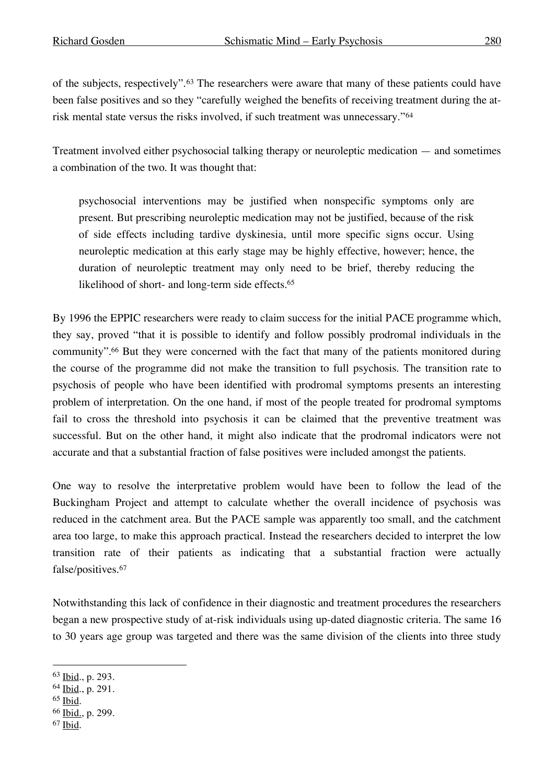of the subjects, respectively".63 The researchers were aware that many of these patients could have been false positives and so they "carefully weighed the benefits of receiving treatment during the atrisk mental state versus the risks involved, if such treatment was unnecessary."64

Treatment involved either psychosocial talking therapy or neuroleptic medication — and sometimes a combination of the two. It was thought that:

psychosocial interventions may be justified when nonspecific symptoms only are present. But prescribing neuroleptic medication may not be justified, because of the risk of side effects including tardive dyskinesia, until more specific signs occur. Using neuroleptic medication at this early stage may be highly effective, however; hence, the duration of neuroleptic treatment may only need to be brief, thereby reducing the likelihood of short- and long-term side effects. 65

By 1996 the EPPIC researchers were ready to claim success for the initial PACE programme which, they say, proved "that it is possible to identify and follow possibly prodromal individuals in the community". <sup>66</sup> But they were concerned with the fact that many of the patients monitored during the course of the programme did not make the transition to full psychosis. The transition rate to psychosis of people who have been identified with prodromal symptoms presents an interesting problem of interpretation. On the one hand, if most of the people treated for prodromal symptoms fail to cross the threshold into psychosis it can be claimed that the preventive treatment was successful. But on the other hand, it might also indicate that the prodromal indicators were not accurate and that a substantial fraction of false positives were included amongst the patients.

One way to resolve the interpretative problem would have been to follow the lead of the Buckingham Project and attempt to calculate whether the overall incidence of psychosis was reduced in the catchment area. But the PACE sample was apparently too small, and the catchment area too large, to make this approach practical. Instead the researchers decided to interpret the low transition rate of their patients as indicating that a substantial fraction were actually false/positives.67

Notwithstanding this lack of confidence in their diagnostic and treatment procedures the researchers began a new prospective study of at-risk individuals using up-dated diagnostic criteria. The same 16 to 30 years age group was targeted and there was the same division of the clients into three study

- <sup>65</sup> Ibid.
- <sup>66</sup> Ibid., p. 299.
- <sup>67</sup> Ibid.

 <sup>63</sup> Ibid., p. 293.

<sup>64</sup> Ibid., p. 291.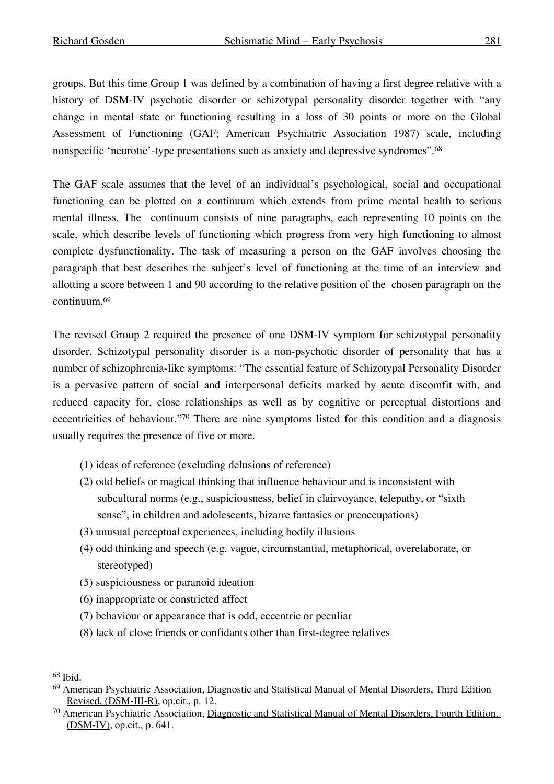groups. But this time Group 1 was defined by a combination of having a first degree relative with a history of DSM-IV psychotic disorder or schizotypal personality disorder together with "any change in mental state or functioning resulting in a loss of 30 points or more on the Global Assessment of Functioning (GAF; American Psychiatric Association 1987) scale, including nonspecific 'neurotic'-type presentations such as anxiety and depressive syndromes".68

The GAF scale assumes that the level of an individual's psychological, social and occupational functioning can be plotted on a continuum which extends from prime mental health to serious mental illness. The continuum consists of nine paragraphs, each representing 10 points on the scale, which describe levels of functioning which progress from very high functioning to almost complete dysfunctionality. The task of measuring a person on the GAF involves choosing the paragraph that best describes the subject's level of functioning at the time of an interview and allotting a score between 1 and 90 according to the relative position of the chosen paragraph on the continuum. 69

The revised Group 2 required the presence of one DSM-IV symptom for schizotypal personality disorder. Schizotypal personality disorder is a non-psychotic disorder of personality that has a number of schizophrenia-like symptoms: "The essential feature of Schizotypal Personality Disorder is a pervasive pattern of social and interpersonal deficits marked by acute discomfit with, and reduced capacity for, close relationships as well as by cognitive or perceptual distortions and eccentricities of behaviour."70 There are nine symptoms listed for this condition and a diagnosis usually requires the presence of five or more.

- (1) ideas of reference (excluding delusions of reference)
- (2) odd beliefs or magical thinking that influence behaviour and is inconsistent with subcultural norms (e.g., suspiciousness, belief in clairvoyance, telepathy, or "sixth sense", in children and adolescents, bizarre fantasies or preoccupations)
- (3) unusual perceptual experiences, including bodily illusions
- (4) odd thinking and speech (e.g. vague, circumstantial, metaphorical, overelaborate, or stereotyped)
- (5) suspiciousness or paranoid ideation
- (6) inappropriate or constricted affect
- (7) behaviour or appearance that is odd, eccentric or peculiar
- (8) lack of close friends or confidants other than first-degree relatives

 <sup>68</sup> Ibid.

<sup>69</sup> American Psychiatric Association, Diagnostic and Statistical Manual of Mental Disorders, Third Edition Revised, (DSM-III-R), op.cit., p. 12.

<sup>70</sup> American Psychiatric Association, Diagnostic and Statistical Manual of Mental Disorders, Fourth Edition, (DSM-IV), op.cit., p. 641.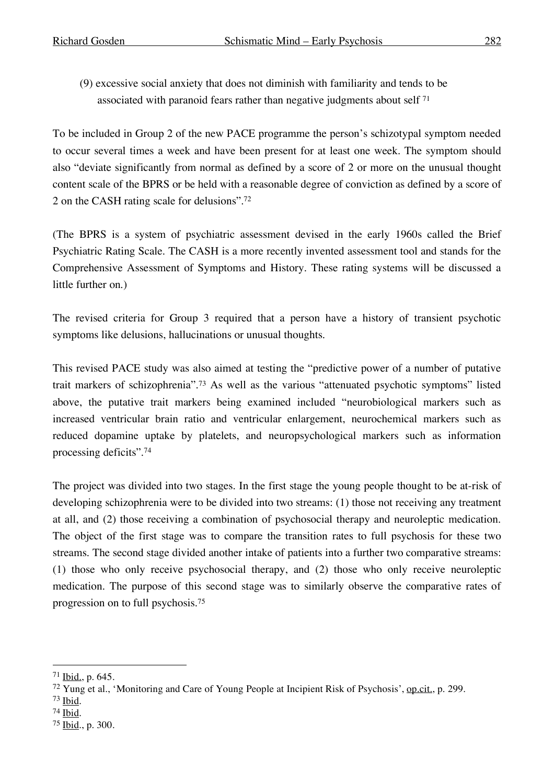(9) excessive social anxiety that does not diminish with familiarity and tends to be associated with paranoid fears rather than negative judgments about self  $71$ 

To be included in Group 2 of the new PACE programme the person's schizotypal symptom needed to occur several times a week and have been present for at least one week. The symptom should also "deviate significantly from normal as defined by a score of 2 or more on the unusual thought content scale of the BPRS or be held with a reasonable degree of conviction as defined by a score of 2 on the CASH rating scale for delusions". 72

(The BPRS is a system of psychiatric assessment devised in the early 1960s called the Brief Psychiatric Rating Scale. The CASH is a more recently invented assessment tool and stands for the Comprehensive Assessment of Symptoms and History. These rating systems will be discussed a little further on.)

The revised criteria for Group 3 required that a person have a history of transient psychotic symptoms like delusions, hallucinations or unusual thoughts.

This revised PACE study was also aimed at testing the "predictive power of a number of putative trait markers of schizophrenia".73 As well as the various "attenuated psychotic symptoms" listed above, the putative trait markers being examined included "neurobiological markers such as increased ventricular brain ratio and ventricular enlargement, neurochemical markers such as reduced dopamine uptake by platelets, and neuropsychological markers such as information processing deficits".74

The project was divided into two stages. In the first stage the young people thought to be at-risk of developing schizophrenia were to be divided into two streams: (1) those not receiving any treatment at all, and (2) those receiving a combination of psychosocial therapy and neuroleptic medication. The object of the first stage was to compare the transition rates to full psychosis for these two streams. The second stage divided another intake of patients into a further two comparative streams: (1) those who only receive psychosocial therapy, and (2) those who only receive neuroleptic medication. The purpose of this second stage was to similarly observe the comparative rates of progression on to full psychosis.75

- <sup>73</sup> Ibid.
- <sup>74</sup> Ibid.

 <sup>71</sup> Ibid., p. 645.

<sup>72</sup> Yung et al., 'Monitoring and Care of Young People at Incipient Risk of Psychosis', op.cit., p. 299.

<sup>75</sup> Ibid., p. 300.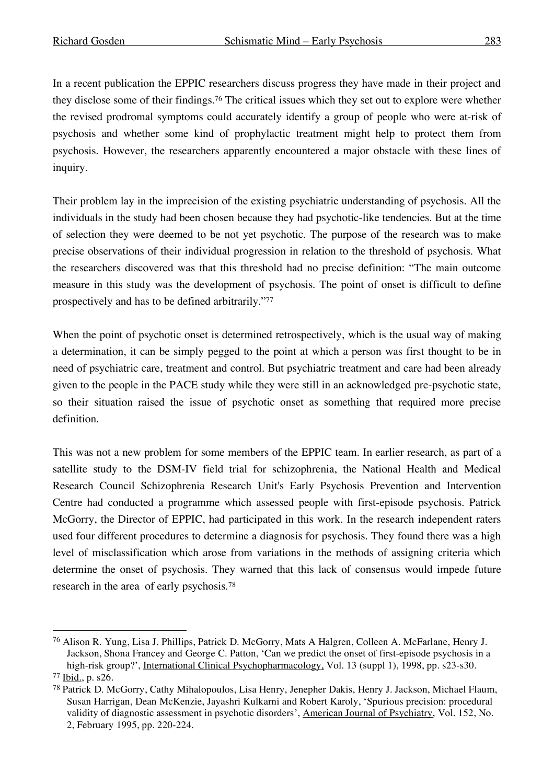In a recent publication the EPPIC researchers discuss progress they have made in their project and they disclose some of their findings. <sup>76</sup> The critical issues which they set out to explore were whether the revised prodromal symptoms could accurately identify a group of people who were at-risk of psychosis and whether some kind of prophylactic treatment might help to protect them from psychosis. However, the researchers apparently encountered a major obstacle with these lines of inquiry.

Their problem lay in the imprecision of the existing psychiatric understanding of psychosis. All the individuals in the study had been chosen because they had psychotic-like tendencies. But at the time of selection they were deemed to be not yet psychotic. The purpose of the research was to make precise observations of their individual progression in relation to the threshold of psychosis. What the researchers discovered was that this threshold had no precise definition: "The main outcome measure in this study was the development of psychosis. The point of onset is difficult to define prospectively and has to be defined arbitrarily."77

When the point of psychotic onset is determined retrospectively, which is the usual way of making a determination, it can be simply pegged to the point at which a person was first thought to be in need of psychiatric care, treatment and control. But psychiatric treatment and care had been already given to the people in the PACE study while they were still in an acknowledged pre-psychotic state, so their situation raised the issue of psychotic onset as something that required more precise definition.

This was not a new problem for some members of the EPPIC team. In earlier research, as part of a satellite study to the DSM-IV field trial for schizophrenia, the National Health and Medical Research Council Schizophrenia Research Unit's Early Psychosis Prevention and Intervention Centre had conducted a programme which assessed people with first-episode psychosis. Patrick McGorry, the Director of EPPIC, had participated in this work. In the research independent raters used four different procedures to determine a diagnosis for psychosis. They found there was a high level of misclassification which arose from variations in the methods of assigning criteria which determine the onset of psychosis. They warned that this lack of consensus would impede future research in the area of early psychosis.78

 <sup>76</sup> Alison R. Yung, Lisa J. Phillips, Patrick D. McGorry, Mats <sup>A</sup> Halgren, Colleen A. McFarlane, Henry J. Jackson, Shona Francey and George C. Patton, 'Can we predict the onset of first-episode psychosis in a high-risk group?', International Clinical Psychopharmacology, Vol. 13 (suppl 1), 1998, pp. s23-s30.

<sup>77</sup> Ibid., p. s26.

<sup>78</sup> Patrick D. McGorry, Cathy Mihalopoulos, Lisa Henry, Jenepher Dakis, Henry J. Jackson, Michael Flaum, Susan Harrigan, Dean McKenzie, Jayashri Kulkarni and Robert Karoly, 'Spurious precision: procedural validity of diagnostic assessment in psychotic disorders', American Journal of Psychiatry, Vol. 152, No. 2, February 1995, pp. 220-224.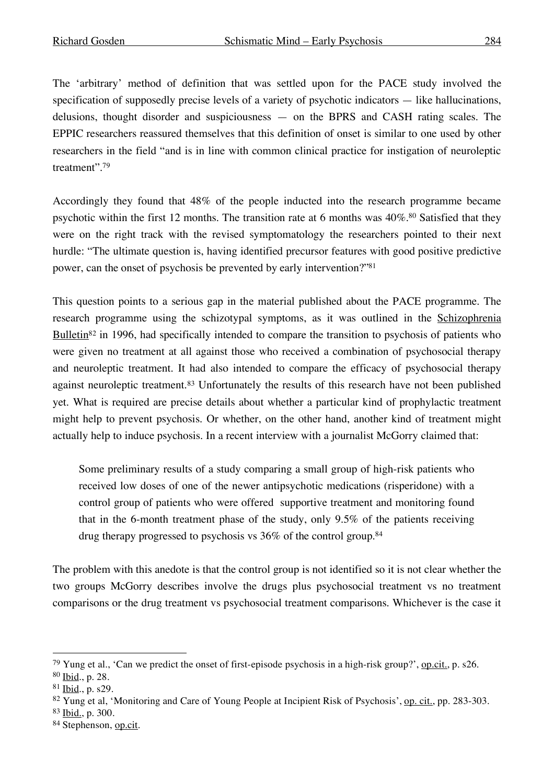The 'arbitrary' method of definition that was settled upon for the PACE study involved the specification of supposedly precise levels of a variety of psychotic indicators — like hallucinations, delusions, thought disorder and suspiciousness — on the BPRS and CASH rating scales. The EPPIC researchers reassured themselves that this definition of onset is similar to one used by other researchers in the field "and is in line with common clinical practice for instigation of neuroleptic treatment". 79

Accordingly they found that 48% of the people inducted into the research programme became psychotic within the first 12 months. The transition rate at 6 months was 40%. <sup>80</sup> Satisfied that they were on the right track with the revised symptomatology the researchers pointed to their next hurdle: "The ultimate question is, having identified precursor features with good positive predictive power, can the onset of psychosis be prevented by early intervention?"81

This question points to a serious gap in the material published about the PACE programme. The research programme using the schizotypal symptoms, as it was outlined in the Schizophrenia Bulletin<sup>82</sup> in 1996, had specifically intended to compare the transition to psychosis of patients who were given no treatment at all against those who received a combination of psychosocial therapy and neuroleptic treatment. It had also intended to compare the efficacy of psychosocial therapy against neuroleptic treatment.83 Unfortunately the results of this research have not been published yet. What is required are precise details about whether a particular kind of prophylactic treatment might help to prevent psychosis. Or whether, on the other hand, another kind of treatment might actually help to induce psychosis. In a recent interview with a journalist McGorry claimed that:

Some preliminary results of a study comparing a small group of high-risk patients who received low doses of one of the newer antipsychotic medications (risperidone) with a control group of patients who were offered supportive treatment and monitoring found that in the 6-month treatment phase of the study, only 9.5% of the patients receiving drug therapy progressed to psychosis vs 36% of the control group.84

The problem with this anedote is that the control group is not identified so it is not clear whether the two groups McGorry describes involve the drugs plus psychosocial treatment vs no treatment comparisons or the drug treatment vs psychosocial treatment comparisons. Whichever is the case it

 <sup>79</sup> Yung et al., 'Can we predict the onset of first-episode psychosis in a high-risk group?', op.cit., p. s26.

<sup>80</sup> Ibid., p. 28.

<sup>81</sup> Ibid., p. s29.

<sup>82</sup> Yung et al, 'Monitoring and Care of Young People at Incipient Risk of Psychosis', op. cit., pp. 283-303.

<sup>83</sup> Ibid., p. 300.

<sup>84</sup> Stephenson, op.cit.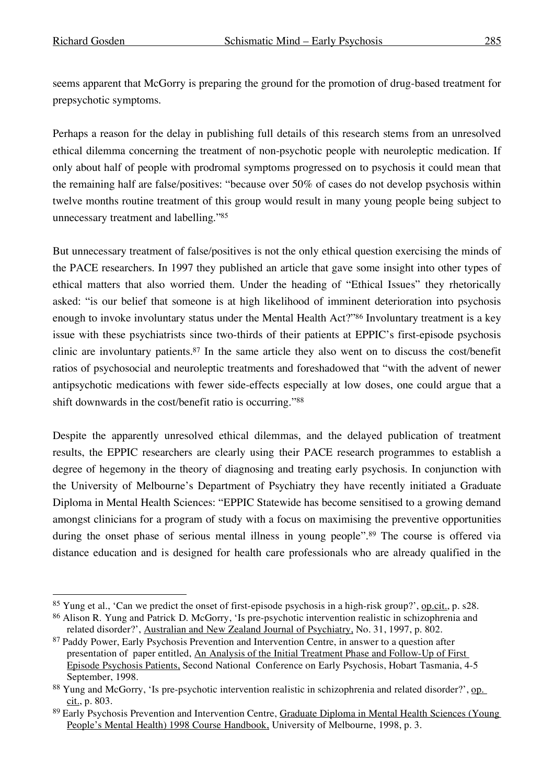seems apparent that McGorry is preparing the ground for the promotion of drug-based treatment for prepsychotic symptoms.

Perhaps a reason for the delay in publishing full details of this research stems from an unresolved ethical dilemma concerning the treatment of non-psychotic people with neuroleptic medication. If only about half of people with prodromal symptoms progressed on to psychosis it could mean that the remaining half are false/positives: "because over 50% of cases do not develop psychosis within twelve months routine treatment of this group would result in many young people being subject to unnecessary treatment and labelling."85

But unnecessary treatment of false/positives is not the only ethical question exercising the minds of the PACE researchers. In 1997 they published an article that gave some insight into other types of ethical matters that also worried them. Under the heading of "Ethical Issues" they rhetorically asked: "is our belief that someone is at high likelihood of imminent deterioration into psychosis enough to invoke involuntary status under the Mental Health Act?"<sup>86</sup> Involuntary treatment is a key issue with these psychiatrists since two-thirds of their patients at EPPIC's first-episode psychosis clinic are involuntary patients. <sup>87</sup> In the same article they also went on to discuss the cost/benefit ratios of psychosocial and neuroleptic treatments and foreshadowed that "with the advent of newer antipsychotic medications with fewer side-effects especially at low doses, one could argue that a shift downwards in the cost/benefit ratio is occurring."88

Despite the apparently unresolved ethical dilemmas, and the delayed publication of treatment results, the EPPIC researchers are clearly using their PACE research programmes to establish a degree of hegemony in the theory of diagnosing and treating early psychosis. In conjunction with the University of Melbourne's Department of Psychiatry they have recently initiated a Graduate Diploma in Mental Health Sciences: "EPPIC Statewide has become sensitised to a growing demand amongst clinicians for a program of study with a focus on maximising the preventive opportunities during the onset phase of serious mental illness in young people". <sup>89</sup> The course is offered via distance education and is designed for health care professionals who are already qualified in the

<sup>&</sup>lt;sup>85</sup> Yung et al., 'Can we predict the onset of first-episode psychosis in a high-risk group?', op.cit., p. s28.

<sup>86</sup> Alison R. Yung and Patrick D. McGorry, 'Is pre-psychotic intervention realistic in schizophrenia and related disorder?', Australian and New Zealand Journal of Psychiatry, No. 31, 1997, p. 802.

<sup>&</sup>lt;sup>87</sup> Paddy Power, Early Psychosis Prevention and Intervention Centre, in answer to a question after presentation of paper entitled, An Analysis of the Initial Treatment Phase and Follow-Up of First Episode Psychosis Patients, Second National Conference on Early Psychosis, Hobart Tasmania, 4-5 September, 1998.

<sup>88</sup> Yung and McGorry, 'Is pre-psychotic intervention realistic in schizophrenia and related disorder?', op. cit., p. 803.

<sup>89</sup> Early Psychosis Prevention and Intervention Centre, Graduate Diploma in Mental Health Sciences (Young People's Mental Health) 1998 Course Handbook, University of Melbourne, 1998, p. 3.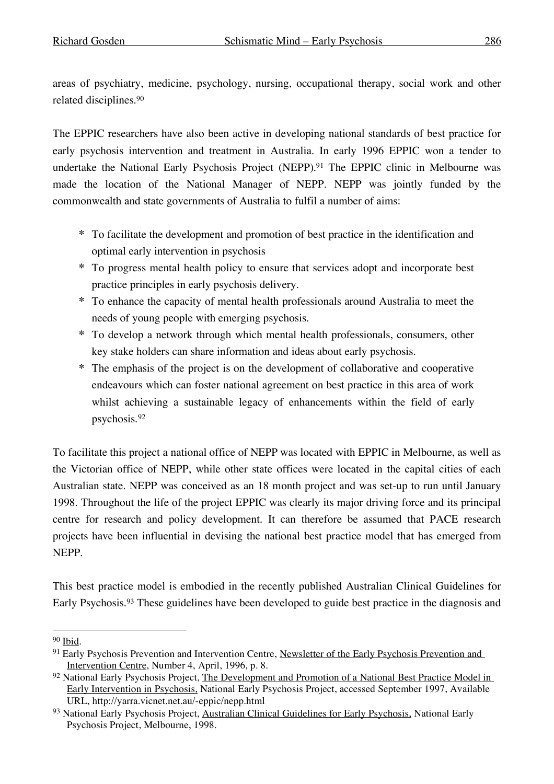areas of psychiatry, medicine, psychology, nursing, occupational therapy, social work and other related disciplines.90

The EPPIC researchers have also been active in developing national standards of best practice for early psychosis intervention and treatment in Australia. In early 1996 EPPIC won a tender to undertake the National Early Psychosis Project (NEPP). <sup>91</sup> The EPPIC clinic in Melbourne was made the location of the National Manager of NEPP. NEPP was jointly funded by the commonwealth and state governments of Australia to fulfil a number of aims:

- **\*** To facilitate the development and promotion of best practice in the identification and optimal early intervention in psychosis
- **\*** To progress mental health policy to ensure that services adopt and incorporate best practice principles in early psychosis delivery.
- **\*** To enhance the capacity of mental health professionals around Australia to meet the needs of young people with emerging psychosis.
- **\*** To develop a network through which mental health professionals, consumers, other key stake holders can share information and ideas about early psychosis.
- **\*** The emphasis of the project is on the development of collaborative and cooperative endeavours which can foster national agreement on best practice in this area of work whilst achieving a sustainable legacy of enhancements within the field of early psychosis.92

To facilitate this project a national office of NEPP was located with EPPIC in Melbourne, as well as the Victorian office of NEPP, while other state offices were located in the capital cities of each Australian state. NEPP was conceived as an 18 month project and was set-up to run until January 1998. Throughout the life of the project EPPIC was clearly its major driving force and its principal centre for research and policy development. It can therefore be assumed that PACE research projects have been influential in devising the national best practice model that has emerged from NEPP.

This best practice model is embodied in the recently published Australian Clinical Guidelines for Early Psychosis.<sup>93</sup> These guidelines have been developed to guide best practice in the diagnosis and

 <sup>90</sup> Ibid.

<sup>&</sup>lt;sup>91</sup> Early Psychosis Prevention and Intervention Centre, Newsletter of the Early Psychosis Prevention and Intervention Centre, Number 4, April, 1996, p. 8.

<sup>&</sup>lt;sup>92</sup> National Early Psychosis Project, The Development and Promotion of a National Best Practice Model in Early Intervention in Psychosis, National Early Psychosis Project, accessed September 1997, Available URL, http://yarra.vicnet.net.au/-eppic/nepp.html

<sup>93</sup> National Early Psychosis Project, Australian Clinical Guidelines for Early Psychosis, National Early Psychosis Project, Melbourne, 1998.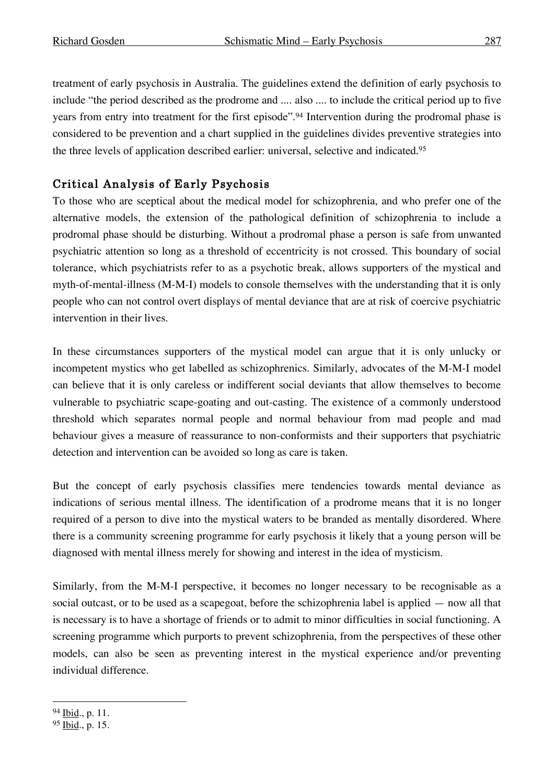treatment of early psychosis in Australia. The guidelines extend the definition of early psychosis to include "the period described as the prodrome and .... also .... to include the critical period up to five years from entry into treatment for the first episode".<sup>94</sup> Intervention during the prodromal phase is considered to be prevention and a chart supplied in the guidelines divides preventive strategies into the three levels of application described earlier: universal, selective and indicated.95

# Critical Analysis of Early Psychosis

To those who are sceptical about the medical model for schizophrenia, and who prefer one of the alternative models, the extension of the pathological definition of schizophrenia to include a prodromal phase should be disturbing. Without a prodromal phase a person is safe from unwanted psychiatric attention so long as a threshold of eccentricity is not crossed. This boundary of social tolerance, which psychiatrists refer to as a psychotic break, allows supporters of the mystical and myth-of-mental-illness (M-M-I) models to console themselves with the understanding that it is only people who can not control overt displays of mental deviance that are at risk of coercive psychiatric intervention in their lives.

In these circumstances supporters of the mystical model can argue that it is only unlucky or incompetent mystics who get labelled as schizophrenics. Similarly, advocates of the M-M-I model can believe that it is only careless or indifferent social deviants that allow themselves to become vulnerable to psychiatric scape-goating and out-casting. The existence of a commonly understood threshold which separates normal people and normal behaviour from mad people and mad behaviour gives a measure of reassurance to non-conformists and their supporters that psychiatric detection and intervention can be avoided so long as care is taken.

But the concept of early psychosis classifies mere tendencies towards mental deviance as indications of serious mental illness. The identification of a prodrome means that it is no longer required of a person to dive into the mystical waters to be branded as mentally disordered. Where there is a community screening programme for early psychosis it likely that a young person will be diagnosed with mental illness merely for showing and interest in the idea of mysticism.

Similarly, from the M-M-I perspective, it becomes no longer necessary to be recognisable as a social outcast, or to be used as a scapegoat, before the schizophrenia label is applied — now all that is necessary is to have a shortage of friends or to admit to minor difficulties in social functioning. A screening programme which purports to prevent schizophrenia, from the perspectives of these other models, can also be seen as preventing interest in the mystical experience and/or preventing individual difference.

<sup>94</sup> Ibid., p. 11.

<sup>95</sup> Ibid., p. 15.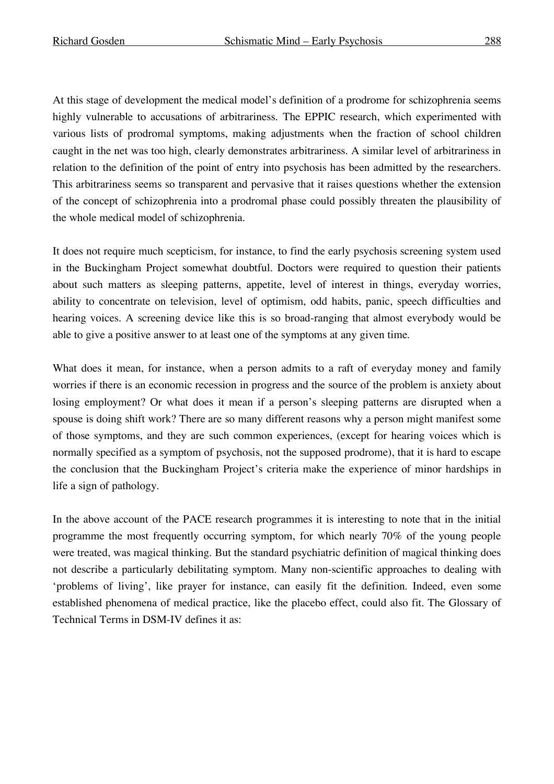At this stage of development the medical model's definition of a prodrome for schizophrenia seems highly vulnerable to accusations of arbitrariness. The EPPIC research, which experimented with various lists of prodromal symptoms, making adjustments when the fraction of school children caught in the net was too high, clearly demonstrates arbitrariness. A similar level of arbitrariness in relation to the definition of the point of entry into psychosis has been admitted by the researchers. This arbitrariness seems so transparent and pervasive that it raises questions whether the extension of the concept of schizophrenia into a prodromal phase could possibly threaten the plausibility of the whole medical model of schizophrenia.

It does not require much scepticism, for instance, to find the early psychosis screening system used in the Buckingham Project somewhat doubtful. Doctors were required to question their patients about such matters as sleeping patterns, appetite, level of interest in things, everyday worries, ability to concentrate on television, level of optimism, odd habits, panic, speech difficulties and hearing voices. A screening device like this is so broad-ranging that almost everybody would be able to give a positive answer to at least one of the symptoms at any given time.

What does it mean, for instance, when a person admits to a raft of everyday money and family worries if there is an economic recession in progress and the source of the problem is anxiety about losing employment? Or what does it mean if a person's sleeping patterns are disrupted when a spouse is doing shift work? There are so many different reasons why a person might manifest some of those symptoms, and they are such common experiences, (except for hearing voices which is normally specified as a symptom of psychosis, not the supposed prodrome), that it is hard to escape the conclusion that the Buckingham Project's criteria make the experience of minor hardships in life a sign of pathology.

In the above account of the PACE research programmes it is interesting to note that in the initial programme the most frequently occurring symptom, for which nearly 70% of the young people were treated, was magical thinking. But the standard psychiatric definition of magical thinking does not describe a particularly debilitating symptom. Many non-scientific approaches to dealing with 'problems of living', like prayer for instance, can easily fit the definition. Indeed, even some established phenomena of medical practice, like the placebo effect, could also fit. The Glossary of Technical Terms in DSM-IV defines it as: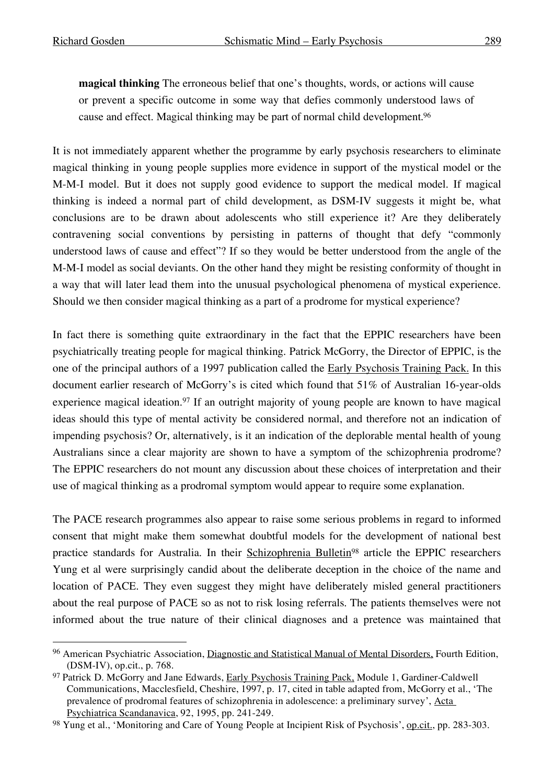**magical thinking** The erroneous belief that one's thoughts, words, or actions will cause or prevent a specific outcome in some way that defies commonly understood laws of cause and effect. Magical thinking may be part of normal child development. 96

It is not immediately apparent whether the programme by early psychosis researchers to eliminate magical thinking in young people supplies more evidence in support of the mystical model or the M-M-I model. But it does not supply good evidence to support the medical model. If magical thinking is indeed a normal part of child development, as DSM-IV suggests it might be, what conclusions are to be drawn about adolescents who still experience it? Are they deliberately contravening social conventions by persisting in patterns of thought that defy "commonly understood laws of cause and effect"? If so they would be better understood from the angle of the M-M-I model as social deviants. On the other hand they might be resisting conformity of thought in a way that will later lead them into the unusual psychological phenomena of mystical experience. Should we then consider magical thinking as a part of a prodrome for mystical experience?

In fact there is something quite extraordinary in the fact that the EPPIC researchers have been psychiatrically treating people for magical thinking. Patrick McGorry, the Director of EPPIC, is the one of the principal authors of a 1997 publication called the Early Psychosis Training Pack. In this document earlier research of McGorry's is cited which found that 51% of Australian 16-year-olds experience magical ideation.<sup>97</sup> If an outright majority of young people are known to have magical ideas should this type of mental activity be considered normal, and therefore not an indication of impending psychosis? Or, alternatively, is it an indication of the deplorable mental health of young Australians since a clear majority are shown to have a symptom of the schizophrenia prodrome? The EPPIC researchers do not mount any discussion about these choices of interpretation and their use of magical thinking as a prodromal symptom would appear to require some explanation.

The PACE research programmes also appear to raise some serious problems in regard to informed consent that might make them somewhat doubtful models for the development of national best practice standards for Australia. In their Schizophrenia Bulletin<sup>98</sup> article the EPPIC researchers Yung et al were surprisingly candid about the deliberate deception in the choice of the name and location of PACE. They even suggest they might have deliberately misled general practitioners about the real purpose of PACE so as not to risk losing referrals. The patients themselves were not informed about the true nature of their clinical diagnoses and a pretence was maintained that

 <sup>96</sup> American Psychiatric Association, Diagnostic and Statistical Manual of Mental Disorders, Fourth Edition, (DSM-IV), op.cit., p. 768.

<sup>97</sup> Patrick D. McGorry and Jane Edwards, Early Psychosis Training Pack, Module 1, Gardiner-Caldwell Communications, Macclesfield, Cheshire, 1997, p. 17, cited in table adapted from, McGorry et al., 'The prevalence of prodromal features of schizophrenia in adolescence: a preliminary survey', Acta Psychiatrica Scandanavica, 92, 1995, pp. 241-249.

<sup>98</sup> Yung et al., 'Monitoring and Care of Young People at Incipient Risk of Psychosis', op.cit., pp. 283-303.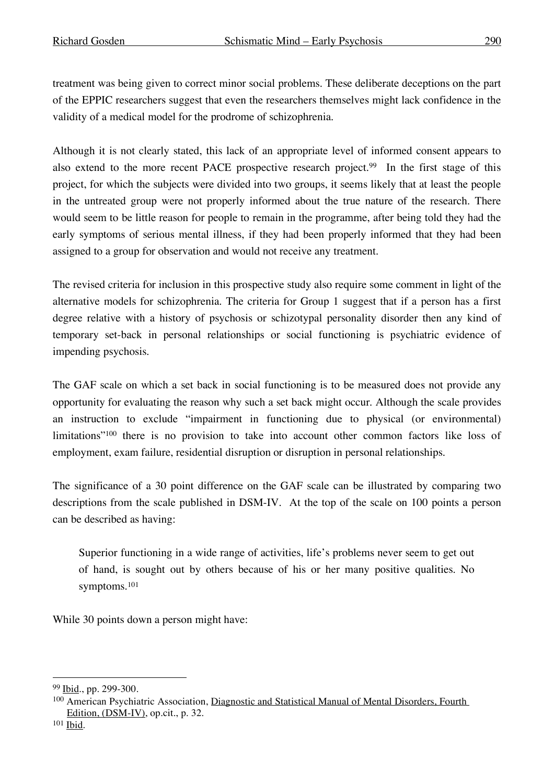treatment was being given to correct minor social problems. These deliberate deceptions on the part of the EPPIC researchers suggest that even the researchers themselves might lack confidence in the validity of a medical model for the prodrome of schizophrenia.

Although it is not clearly stated, this lack of an appropriate level of informed consent appears to also extend to the more recent PACE prospective research project.<sup>99</sup> In the first stage of this project, for which the subjects were divided into two groups, it seems likely that at least the people in the untreated group were not properly informed about the true nature of the research. There would seem to be little reason for people to remain in the programme, after being told they had the early symptoms of serious mental illness, if they had been properly informed that they had been assigned to a group for observation and would not receive any treatment.

The revised criteria for inclusion in this prospective study also require some comment in light of the alternative models for schizophrenia. The criteria for Group 1 suggest that if a person has a first degree relative with a history of psychosis or schizotypal personality disorder then any kind of temporary set-back in personal relationships or social functioning is psychiatric evidence of impending psychosis.

The GAF scale on which a set back in social functioning is to be measured does not provide any opportunity for evaluating the reason why such a set back might occur. Although the scale provides an instruction to exclude "impairment in functioning due to physical (or environmental) limitations"100 there is no provision to take into account other common factors like loss of employment, exam failure, residential disruption or disruption in personal relationships.

The significance of a 30 point difference on the GAF scale can be illustrated by comparing two descriptions from the scale published in DSM-IV. At the top of the scale on 100 points a person can be described as having:

Superior functioning in a wide range of activities, life's problems never seem to get out of hand, is sought out by others because of his or her many positive qualities. No symptoms.101

While 30 points down a person might have:

 <sup>99</sup> Ibid., pp. 299-300.

<sup>100</sup> American Psychiatric Association, Diagnostic and Statistical Manual of Mental Disorders, Fourth Edition, (DSM-IV), op.cit., p. 32.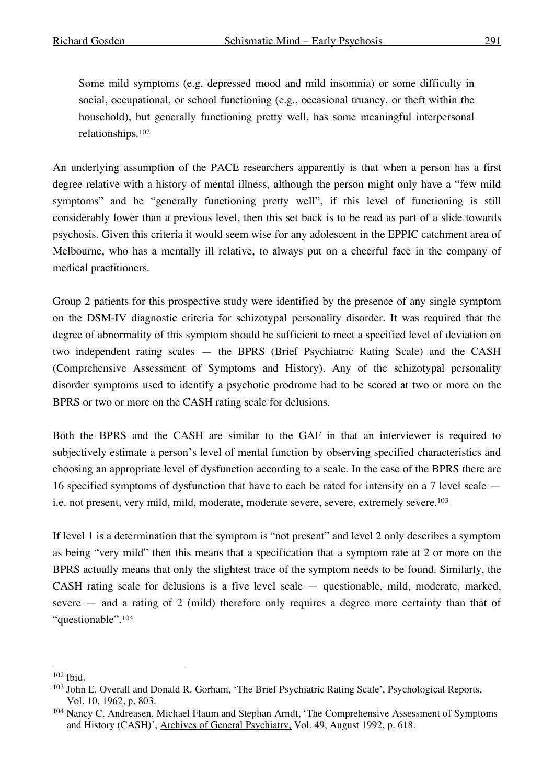Some mild symptoms (e.g. depressed mood and mild insomnia) or some difficulty in social, occupational, or school functioning (e.g., occasional truancy, or theft within the household), but generally functioning pretty well, has some meaningful interpersonal relationships.102

An underlying assumption of the PACE researchers apparently is that when a person has a first degree relative with a history of mental illness, although the person might only have a "few mild symptoms" and be "generally functioning pretty well", if this level of functioning is still considerably lower than a previous level, then this set back is to be read as part of a slide towards psychosis. Given this criteria it would seem wise for any adolescent in the EPPIC catchment area of Melbourne, who has a mentally ill relative, to always put on a cheerful face in the company of medical practitioners.

Group 2 patients for this prospective study were identified by the presence of any single symptom on the DSM-IV diagnostic criteria for schizotypal personality disorder. It was required that the degree of abnormality of this symptom should be sufficient to meet a specified level of deviation on two independent rating scales — the BPRS (Brief Psychiatric Rating Scale) and the CASH (Comprehensive Assessment of Symptoms and History). Any of the schizotypal personality disorder symptoms used to identify a psychotic prodrome had to be scored at two or more on the BPRS or two or more on the CASH rating scale for delusions.

Both the BPRS and the CASH are similar to the GAF in that an interviewer is required to subjectively estimate a person's level of mental function by observing specified characteristics and choosing an appropriate level of dysfunction according to a scale. In the case of the BPRS there are 16 specified symptoms of dysfunction that have to each be rated for intensity on a 7 level scale i.e. not present, very mild, mild, moderate, moderate severe, severe, extremely severe. 103

If level 1 is a determination that the symptom is "not present" and level 2 only describes a symptom as being "very mild" then this means that a specification that a symptom rate at 2 or more on the BPRS actually means that only the slightest trace of the symptom needs to be found. Similarly, the CASH rating scale for delusions is a five level scale — questionable, mild, moderate, marked, severe — and a rating of 2 (mild) therefore only requires a degree more certainty than that of "questionable".104

 <sup>102</sup> Ibid.

<sup>103</sup> John E. Overall and Donald R. Gorham, 'The Brief Psychiatric Rating Scale', Psychological Reports, Vol. 10, 1962, p. 803.

<sup>104</sup> Nancy C. Andreasen, Michael Flaum and Stephan Arndt, 'The Comprehensive Assessment of Symptoms and History (CASH)', Archives of General Psychiatry, Vol. 49, August 1992, p. 618.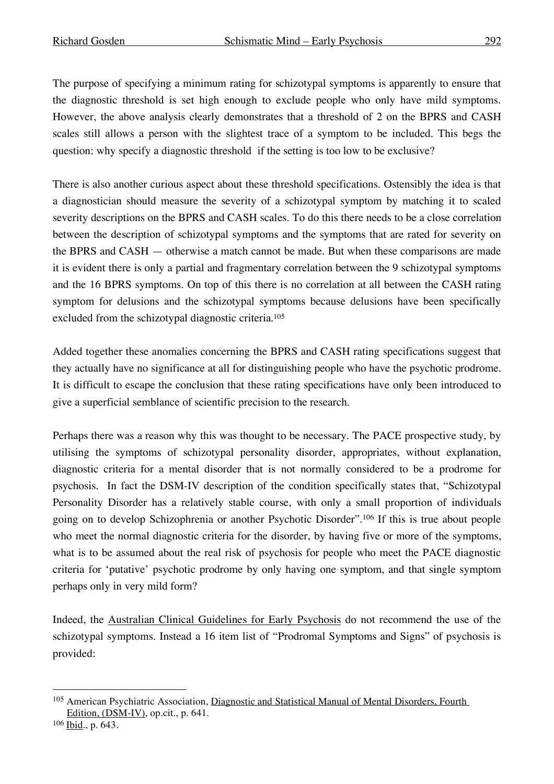The purpose of specifying a minimum rating for schizotypal symptoms is apparently to ensure that the diagnostic threshold is set high enough to exclude people who only have mild symptoms. However, the above analysis clearly demonstrates that a threshold of 2 on the BPRS and CASH scales still allows a person with the slightest trace of a symptom to be included. This begs the question: why specify a diagnostic threshold if the setting is too low to be exclusive?

There is also another curious aspect about these threshold specifications. Ostensibly the idea is that a diagnostician should measure the severity of a schizotypal symptom by matching it to scaled severity descriptions on the BPRS and CASH scales. To do this there needs to be a close correlation between the description of schizotypal symptoms and the symptoms that are rated for severity on the BPRS and CASH — otherwise a match cannot be made. But when these comparisons are made it is evident there is only a partial and fragmentary correlation between the 9 schizotypal symptoms and the 16 BPRS symptoms. On top of this there is no correlation at all between the CASH rating symptom for delusions and the schizotypal symptoms because delusions have been specifically excluded from the schizotypal diagnostic criteria. 105

Added together these anomalies concerning the BPRS and CASH rating specifications suggest that they actually have no significance at all for distinguishing people who have the psychotic prodrome. It is difficult to escape the conclusion that these rating specifications have only been introduced to give a superficial semblance of scientific precision to the research.

Perhaps there was a reason why this was thought to be necessary. The PACE prospective study, by utilising the symptoms of schizotypal personality disorder, appropriates, without explanation, diagnostic criteria for a mental disorder that is not normally considered to be a prodrome for psychosis. In fact the DSM-IV description of the condition specifically states that, "Schizotypal Personality Disorder has a relatively stable course, with only a small proportion of individuals going on to develop Schizophrenia or another Psychotic Disorder".106 If this is true about people who meet the normal diagnostic criteria for the disorder, by having five or more of the symptoms, what is to be assumed about the real risk of psychosis for people who meet the PACE diagnostic criteria for 'putative' psychotic prodrome by only having one symptom, and that single symptom perhaps only in very mild form?

Indeed, the Australian Clinical Guidelines for Early Psychosis do not recommend the use of the schizotypal symptoms. Instead a 16 item list of "Prodromal Symptoms and Signs" of psychosis is provided:

 <sup>105</sup> American Psychiatric Association, Diagnostic and Statistical Manual of Mental Disorders, Fourth Edition, (DSM-IV), op.cit., p. 641.

<sup>106 &</sup>lt;u>Ibid., p. 643.</u>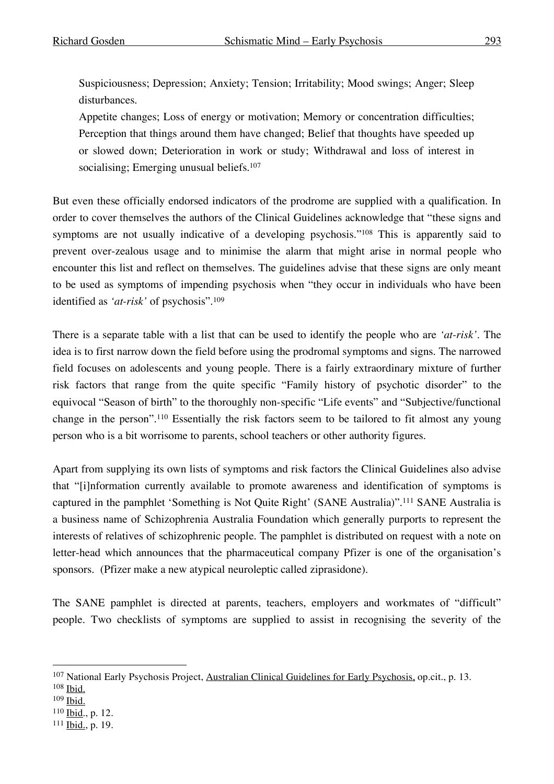Suspiciousness; Depression; Anxiety; Tension; Irritability; Mood swings; Anger; Sleep disturbances.

Appetite changes; Loss of energy or motivation; Memory or concentration difficulties; Perception that things around them have changed; Belief that thoughts have speeded up or slowed down; Deterioration in work or study; Withdrawal and loss of interest in socialising; Emerging unusual beliefs.<sup>107</sup>

But even these officially endorsed indicators of the prodrome are supplied with a qualification. In order to cover themselves the authors of the Clinical Guidelines acknowledge that "these signs and symptoms are not usually indicative of a developing psychosis."108 This is apparently said to prevent over-zealous usage and to minimise the alarm that might arise in normal people who encounter this list and reflect on themselves. The guidelines advise that these signs are only meant to be used as symptoms of impending psychosis when "they occur in individuals who have been identified as *'at-risk'* of psychosis". 109

There is a separate table with a list that can be used to identify the people who are *'at-risk'*. The idea is to first narrow down the field before using the prodromal symptoms and signs. The narrowed field focuses on adolescents and young people. There is a fairly extraordinary mixture of further risk factors that range from the quite specific "Family history of psychotic disorder" to the equivocal "Season of birth" to the thoroughly non-specific "Life events" and "Subjective/functional change in the person". <sup>110</sup> Essentially the risk factors seem to be tailored to fit almost any young person who is a bit worrisome to parents, school teachers or other authority figures.

Apart from supplying its own lists of symptoms and risk factors the Clinical Guidelines also advise that "[i]nformation currently available to promote awareness and identification of symptoms is captured in the pamphlet 'Something is Not Quite Right' (SANE Australia)". <sup>111</sup> SANE Australia is a business name of Schizophrenia Australia Foundation which generally purports to represent the interests of relatives of schizophrenic people. The pamphlet is distributed on request with a note on letter-head which announces that the pharmaceutical company Pfizer is one of the organisation's sponsors. (Pfizer make a new atypical neuroleptic called ziprasidone).

The SANE pamphlet is directed at parents, teachers, employers and workmates of "difficult" people. Two checklists of symptoms are supplied to assist in recognising the severity of the

<sup>&</sup>lt;sup>107</sup> National Early Psychosis Project, Australian Clinical Guidelines for Early Psychosis, op.cit., p. 13.

<sup>108</sup> Ibid.

<sup>109</sup> Ibid.

<sup>110</sup> Ibid., p. 12.

<sup>111</sup> Ibid., p. 19.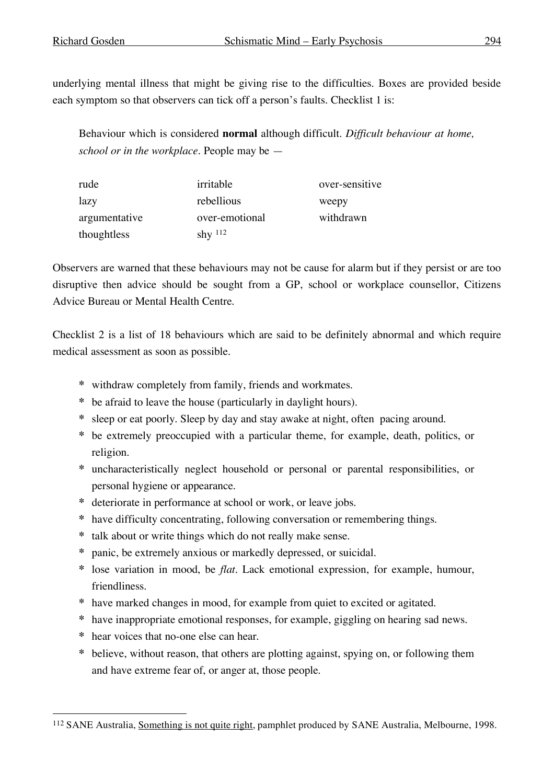underlying mental illness that might be giving rise to the difficulties. Boxes are provided beside each symptom so that observers can tick off a person's faults. Checklist 1 is:

Behaviour which is considered **normal** although difficult. *Difficult behaviour at home, school or in the workplace.* People may be —

| rude          | irritable      | over-sensitive |
|---------------|----------------|----------------|
| lazy          | rebellious     | weepy          |
| argumentative | over-emotional | withdrawn      |
| thoughtless   | shy $112$      |                |

Observers are warned that these behaviours may not be cause for alarm but if they persist or are too disruptive then advice should be sought from a GP, school or workplace counsellor, Citizens Advice Bureau or Mental Health Centre.

Checklist 2 is a list of 18 behaviours which are said to be definitely abnormal and which require medical assessment as soon as possible.

- **\*** withdraw completely from family, friends and workmates.
- **\*** be afraid to leave the house (particularly in daylight hours).
- **\*** sleep or eat poorly. Sleep by day and stay awake at night, often pacing around.
- **\*** be extremely preoccupied with a particular theme, for example, death, politics, or religion.
- **\*** uncharacteristically neglect household or personal or parental responsibilities, or personal hygiene or appearance.
- **\*** deteriorate in performance at school or work, or leave jobs.
- **\*** have difficulty concentrating, following conversation or remembering things.
- **\*** talk about or write things which do not really make sense.
- **\*** panic, be extremely anxious or markedly depressed, or suicidal.
- **\*** lose variation in mood, be *flat*. Lack emotional expression, for example, humour, friendliness.
- **\*** have marked changes in mood, for example from quiet to excited or agitated.
- **\*** have inappropriate emotional responses, for example, giggling on hearing sad news.
- **\*** hear voices that no-one else can hear.
- **\*** believe, without reason, that others are plotting against, spying on, or following them and have extreme fear of, or anger at, those people.

 <sup>112</sup> SANE Australia, Something is not quite right, pamphlet produced by SANE Australia, Melbourne, 1998.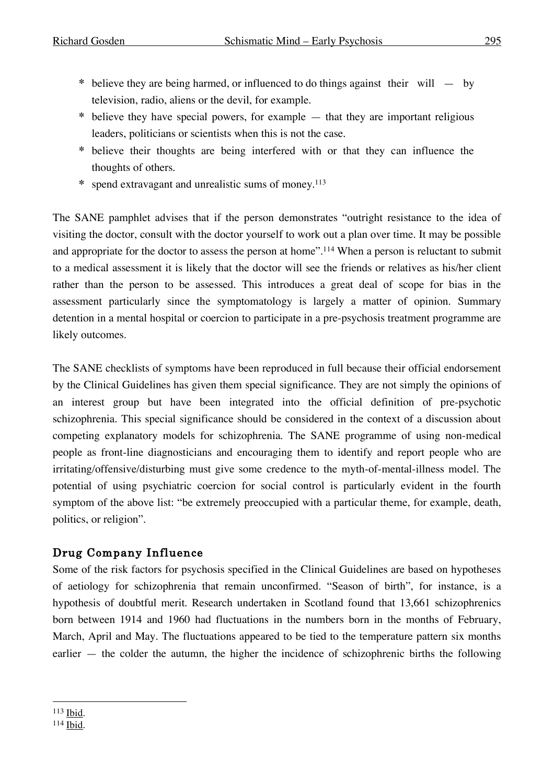- **\*** believe they are being harmed, or influenced to do things against their will by television, radio, aliens or the devil, for example.
- **\*** believe they have special powers, for example that they are important religious leaders, politicians or scientists when this is not the case.
- **\*** believe their thoughts are being interfered with or that they can influence the thoughts of others.
- **\*** spend extravagant and unrealistic sums of money. 113

The SANE pamphlet advises that if the person demonstrates "outright resistance to the idea of visiting the doctor, consult with the doctor yourself to work out a plan over time. It may be possible and appropriate for the doctor to assess the person at home". <sup>114</sup> When a person is reluctant to submit to a medical assessment it is likely that the doctor will see the friends or relatives as his/her client rather than the person to be assessed. This introduces a great deal of scope for bias in the assessment particularly since the symptomatology is largely a matter of opinion. Summary detention in a mental hospital or coercion to participate in a pre-psychosis treatment programme are likely outcomes.

The SANE checklists of symptoms have been reproduced in full because their official endorsement by the Clinical Guidelines has given them special significance. They are not simply the opinions of an interest group but have been integrated into the official definition of pre-psychotic schizophrenia. This special significance should be considered in the context of a discussion about competing explanatory models for schizophrenia. The SANE programme of using non-medical people as front-line diagnosticians and encouraging them to identify and report people who are irritating/offensive/disturbing must give some credence to the myth-of-mental-illness model. The potential of using psychiatric coercion for social control is particularly evident in the fourth symptom of the above list: "be extremely preoccupied with a particular theme, for example, death, politics, or religion".

# Drug Company Influence

Some of the risk factors for psychosis specified in the Clinical Guidelines are based on hypotheses of aetiology for schizophrenia that remain unconfirmed. "Season of birth", for instance, is a hypothesis of doubtful merit. Research undertaken in Scotland found that 13,661 schizophrenics born between 1914 and 1960 had fluctuations in the numbers born in the months of February, March, April and May. The fluctuations appeared to be tied to the temperature pattern six months earlier — the colder the autumn, the higher the incidence of schizophrenic births the following

 <sup>113</sup> Ibid.

<sup>114</sup> Ibid.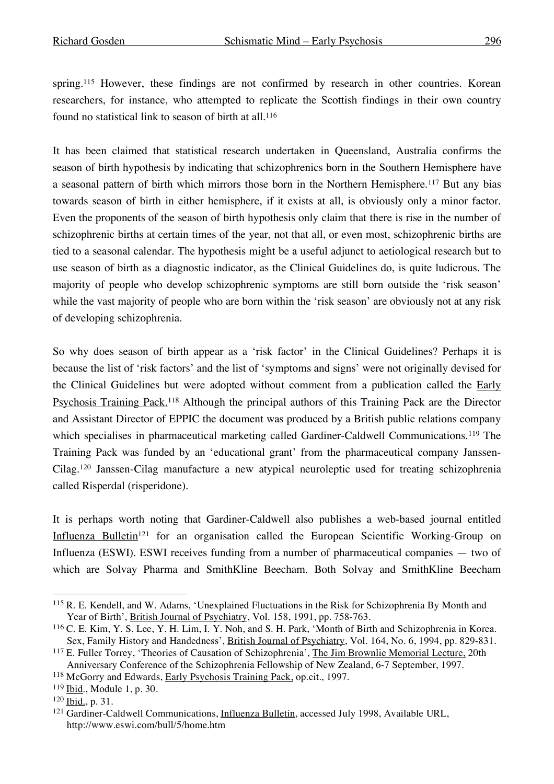spring.<sup>115</sup> However, these findings are not confirmed by research in other countries. Korean researchers, for instance, who attempted to replicate the Scottish findings in their own country found no statistical link to season of birth at all. 116

It has been claimed that statistical research undertaken in Queensland, Australia confirms the season of birth hypothesis by indicating that schizophrenics born in the Southern Hemisphere have a seasonal pattern of birth which mirrors those born in the Northern Hemisphere.<sup>117</sup> But any bias towards season of birth in either hemisphere, if it exists at all, is obviously only a minor factor. Even the proponents of the season of birth hypothesis only claim that there is rise in the number of schizophrenic births at certain times of the year, not that all, or even most, schizophrenic births are tied to a seasonal calendar. The hypothesis might be a useful adjunct to aetiological research but to use season of birth as a diagnostic indicator, as the Clinical Guidelines do, is quite ludicrous. The majority of people who develop schizophrenic symptoms are still born outside the 'risk season' while the vast majority of people who are born within the 'risk season' are obviously not at any risk of developing schizophrenia.

So why does season of birth appear as a 'risk factor' in the Clinical Guidelines? Perhaps it is because the list of 'risk factors' and the list of 'symptoms and signs' were not originally devised for the Clinical Guidelines but were adopted without comment from a publication called the Early Psychosis Training Pack.118 Although the principal authors of this Training Pack are the Director and Assistant Director of EPPIC the document was produced by a British public relations company which specialises in pharmaceutical marketing called Gardiner-Caldwell Communications.<sup>119</sup> The Training Pack was funded by an 'educational grant' from the pharmaceutical company Janssen-Cilag.120 Janssen-Cilag manufacture a new atypical neuroleptic used for treating schizophrenia called Risperdal (risperidone).

It is perhaps worth noting that Gardiner-Caldwell also publishes a web-based journal entitled Influenza Bulletin<sup>121</sup> for an organisation called the European Scientific Working-Group on Influenza (ESWI). ESWI receives funding from a number of pharmaceutical companies — two of which are Solvay Pharma and SmithKline Beecham. Both Solvay and SmithKline Beecham

 <sup>115</sup> R. E. Kendell, and W. Adams, 'Unexplained Fluctuations in the Risk for Schizophrenia By Month and Year of Birth', British Journal of Psychiatry, Vol. 158, 1991, pp. 758-763.

<sup>116</sup> C. E. Kim, Y. S. Lee, Y. H. Lim, I. Y. Noh, and S. H. Park, 'Month of Birth and Schizophrenia in Korea. Sex, Family History and Handedness', British Journal of Psychiatry, Vol. 164, No. 6, 1994, pp. 829-831.

<sup>117</sup> E. Fuller Torrey, 'Theories of Causation of Schizophrenia', The Jim Brownlie Memorial Lecture, 20th Anniversary Conference of the Schizophrenia Fellowship of New Zealand, 6-7 September, 1997.

<sup>118</sup> McGorry and Edwards, Early Psychosis Training Pack, op.cit., 1997.

<sup>119</sup> Ibid., Module 1, p. 30.

<sup>120</sup> Ibid., p. 31.

<sup>&</sup>lt;sup>121</sup> Gardiner-Caldwell Communications, *Influenza Bulletin*, accessed July 1998, Available URL, http://www.eswi.com/bull/5/home.htm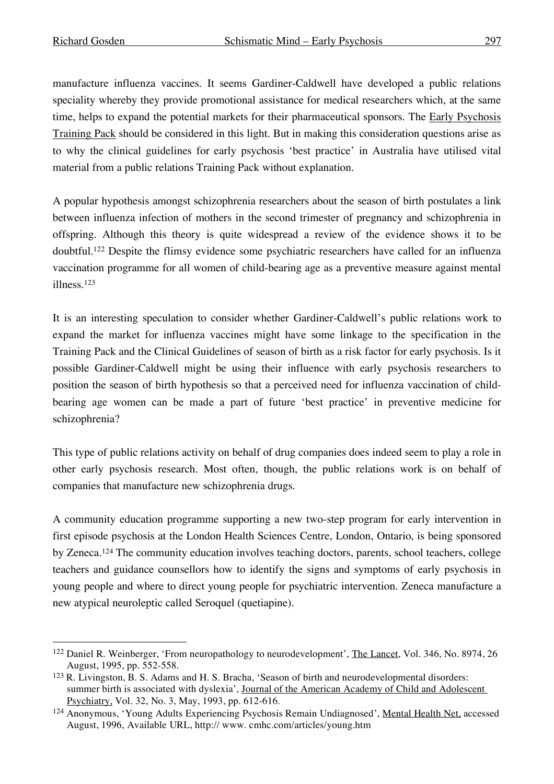manufacture influenza vaccines. It seems Gardiner-Caldwell have developed a public relations speciality whereby they provide promotional assistance for medical researchers which, at the same time, helps to expand the potential markets for their pharmaceutical sponsors. The Early Psychosis Training Pack should be considered in this light. But in making this consideration questions arise as to why the clinical guidelines for early psychosis 'best practice' in Australia have utilised vital material from a public relations Training Pack without explanation.

A popular hypothesis amongst schizophrenia researchers about the season of birth postulates a link between influenza infection of mothers in the second trimester of pregnancy and schizophrenia in offspring. Although this theory is quite widespread a review of the evidence shows it to be doubtful. <sup>122</sup> Despite the flimsy evidence some psychiatric researchers have called for an influenza vaccination programme for all women of child-bearing age as a preventive measure against mental illness. 123

It is an interesting speculation to consider whether Gardiner-Caldwell's public relations work to expand the market for influenza vaccines might have some linkage to the specification in the Training Pack and the Clinical Guidelines of season of birth as a risk factor for early psychosis. Is it possible Gardiner-Caldwell might be using their influence with early psychosis researchers to position the season of birth hypothesis so that a perceived need for influenza vaccination of childbearing age women can be made a part of future 'best practice' in preventive medicine for schizophrenia?

This type of public relations activity on behalf of drug companies does indeed seem to play a role in other early psychosis research. Most often, though, the public relations work is on behalf of companies that manufacture new schizophrenia drugs.

A community education programme supporting a new two-step program for early intervention in first episode psychosis at the London Health Sciences Centre, London, Ontario, is being sponsored by Zeneca.124 The community education involves teaching doctors, parents, school teachers, college teachers and guidance counsellors how to identify the signs and symptoms of early psychosis in young people and where to direct young people for psychiatric intervention. Zeneca manufacture a new atypical neuroleptic called Seroquel (quetiapine).

 <sup>122</sup> Daniel R. Weinberger, 'From neuropathology to neurodevelopment', The Lancet, Vol. 346, No. 8974, <sup>26</sup> August, 1995, pp. 552-558.

<sup>&</sup>lt;sup>123</sup> R. Livingston, B. S. Adams and H. S. Bracha, 'Season of birth and neurodevelopmental disorders: summer birth is associated with dyslexia', Journal of the American Academy of Child and Adolescent Psychiatry, Vol. 32, No. 3, May, 1993, pp. 612-616.

<sup>124</sup> Anonymous, 'Young Adults Experiencing Psychosis Remain Undiagnosed', Mental Health Net, accessed August, 1996, Available URL, http:// www. cmhc.com/articles/young.htm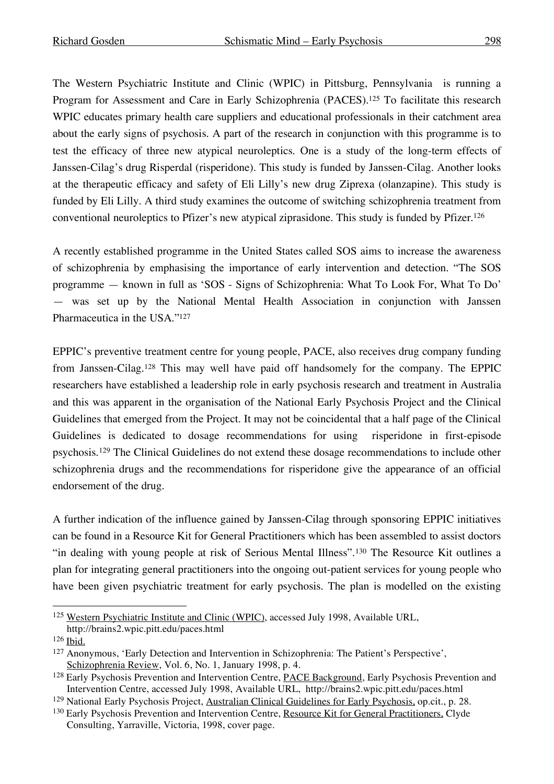The Western Psychiatric Institute and Clinic (WPIC) in Pittsburg, Pennsylvania is running a Program for Assessment and Care in Early Schizophrenia (PACES).<sup>125</sup> To facilitate this research WPIC educates primary health care suppliers and educational professionals in their catchment area about the early signs of psychosis. A part of the research in conjunction with this programme is to test the efficacy of three new atypical neuroleptics. One is a study of the long-term effects of Janssen-Cilag's drug Risperdal (risperidone). This study is funded by Janssen-Cilag. Another looks at the therapeutic efficacy and safety of Eli Lilly's new drug Ziprexa (olanzapine). This study is funded by Eli Lilly. A third study examines the outcome of switching schizophrenia treatment from conventional neuroleptics to Pfizer's new atypical ziprasidone. This study is funded by Pfizer. 126

A recently established programme in the United States called SOS aims to increase the awareness of schizophrenia by emphasising the importance of early intervention and detection. "The SOS programme — known in full as 'SOS - Signs of Schizophrenia: What To Look For, What To Do' — was set up by the National Mental Health Association in conjunction with Janssen Pharmaceutica in the USA."127

EPPIC's preventive treatment centre for young people, PACE, also receives drug company funding from Janssen-Cilag.128 This may well have paid off handsomely for the company. The EPPIC researchers have established a leadership role in early psychosis research and treatment in Australia and this was apparent in the organisation of the National Early Psychosis Project and the Clinical Guidelines that emerged from the Project. It may not be coincidental that a half page of the Clinical Guidelines is dedicated to dosage recommendations for using risperidone in first-episode psychosis.129 The Clinical Guidelines do not extend these dosage recommendations to include other schizophrenia drugs and the recommendations for risperidone give the appearance of an official endorsement of the drug.

A further indication of the influence gained by Janssen-Cilag through sponsoring EPPIC initiatives can be found in a Resource Kit for General Practitioners which has been assembled to assist doctors "in dealing with young people at risk of Serious Mental Illness".130 The Resource Kit outlines a plan for integrating general practitioners into the ongoing out-patient services for young people who have been given psychiatric treatment for early psychosis. The plan is modelled on the existing

 <sup>125</sup> Western Psychiatric Institute and Clinic (WPIC), accessed July 1998, Available URL, http://brains2.wpic.pitt.edu/paces.html

<sup>126</sup> Ibid.

<sup>127</sup> Anonymous, 'Early Detection and Intervention in Schizophrenia: The Patient's Perspective', Schizophrenia Review, Vol. 6, No. 1, January 1998, p. 4.

<sup>&</sup>lt;sup>128</sup> Early Psychosis Prevention and Intervention Centre, PACE Background, Early Psychosis Prevention and Intervention Centre, accessed July 1998, Available URL, http://brains2.wpic.pitt.edu/paces.html

<sup>129</sup> National Early Psychosis Project, Australian Clinical Guidelines for Early Psychosis, op.cit., p. 28.

<sup>&</sup>lt;sup>130</sup> Early Psychosis Prevention and Intervention Centre, Resource Kit for General Practitioners, Clyde Consulting, Yarraville, Victoria, 1998, cover page.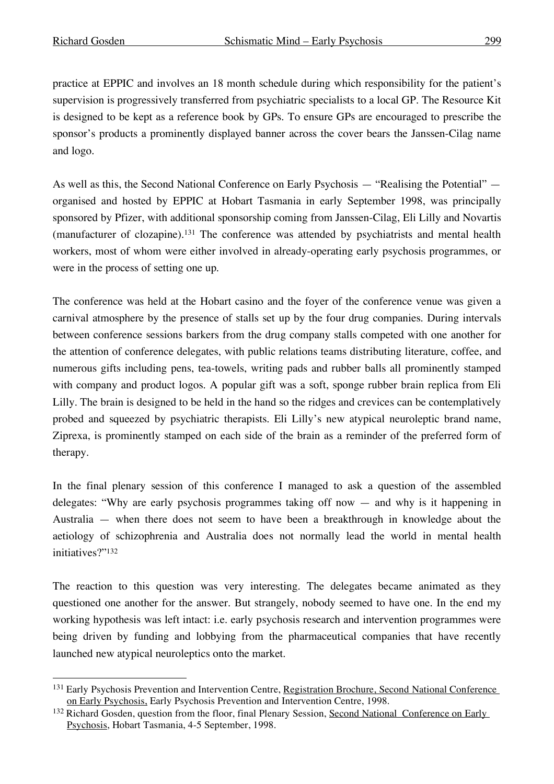practice at EPPIC and involves an 18 month schedule during which responsibility for the patient's supervision is progressively transferred from psychiatric specialists to a local GP. The Resource Kit is designed to be kept as a reference book by GPs. To ensure GPs are encouraged to prescribe the sponsor's products a prominently displayed banner across the cover bears the Janssen-Cilag name and logo.

As well as this, the Second National Conference on Early Psychosis — "Realising the Potential" organised and hosted by EPPIC at Hobart Tasmania in early September 1998, was principally sponsored by Pfizer, with additional sponsorship coming from Janssen-Cilag, Eli Lilly and Novartis (manufacturer of clozapine). <sup>131</sup> The conference was attended by psychiatrists and mental health workers, most of whom were either involved in already-operating early psychosis programmes, or were in the process of setting one up.

The conference was held at the Hobart casino and the foyer of the conference venue was given a carnival atmosphere by the presence of stalls set up by the four drug companies. During intervals between conference sessions barkers from the drug company stalls competed with one another for the attention of conference delegates, with public relations teams distributing literature, coffee, and numerous gifts including pens, tea-towels, writing pads and rubber balls all prominently stamped with company and product logos. A popular gift was a soft, sponge rubber brain replica from Eli Lilly. The brain is designed to be held in the hand so the ridges and crevices can be contemplatively probed and squeezed by psychiatric therapists. Eli Lilly's new atypical neuroleptic brand name, Ziprexa, is prominently stamped on each side of the brain as a reminder of the preferred form of therapy.

In the final plenary session of this conference I managed to ask a question of the assembled delegates: "Why are early psychosis programmes taking off now — and why is it happening in Australia — when there does not seem to have been a breakthrough in knowledge about the aetiology of schizophrenia and Australia does not normally lead the world in mental health initiatives?"132

The reaction to this question was very interesting. The delegates became animated as they questioned one another for the answer. But strangely, nobody seemed to have one. In the end my working hypothesis was left intact: i.e. early psychosis research and intervention programmes were being driven by funding and lobbying from the pharmaceutical companies that have recently launched new atypical neuroleptics onto the market.

 <sup>131</sup> Early Psychosis Prevention and Intervention Centre, Registration Brochure, Second National Conference on Early Psychosis, Early Psychosis Prevention and Intervention Centre, 1998.

<sup>132</sup> Richard Gosden, question from the floor, final Plenary Session, Second National Conference on Early Psychosis, Hobart Tasmania, 4-5 September, 1998.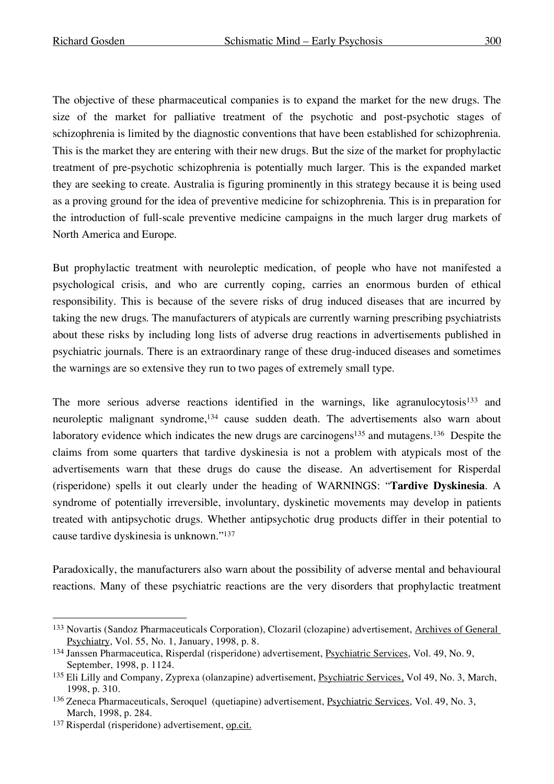The objective of these pharmaceutical companies is to expand the market for the new drugs. The size of the market for palliative treatment of the psychotic and post-psychotic stages of schizophrenia is limited by the diagnostic conventions that have been established for schizophrenia. This is the market they are entering with their new drugs. But the size of the market for prophylactic treatment of pre-psychotic schizophrenia is potentially much larger. This is the expanded market they are seeking to create. Australia is figuring prominently in this strategy because it is being used as a proving ground for the idea of preventive medicine for schizophrenia. This is in preparation for the introduction of full-scale preventive medicine campaigns in the much larger drug markets of North America and Europe.

But prophylactic treatment with neuroleptic medication, of people who have not manifested a psychological crisis, and who are currently coping, carries an enormous burden of ethical responsibility. This is because of the severe risks of drug induced diseases that are incurred by taking the new drugs. The manufacturers of atypicals are currently warning prescribing psychiatrists about these risks by including long lists of adverse drug reactions in advertisements published in psychiatric journals. There is an extraordinary range of these drug-induced diseases and sometimes the warnings are so extensive they run to two pages of extremely small type.

The more serious adverse reactions identified in the warnings, like agranulocytosis<sup>133</sup> and neuroleptic malignant syndrome, <sup>134</sup> cause sudden death. The advertisements also warn about laboratory evidence which indicates the new drugs are carcinogens<sup>135</sup> and mutagens.<sup>136</sup> Despite the claims from some quarters that tardive dyskinesia is not a problem with atypicals most of the advertisements warn that these drugs do cause the disease. An advertisement for Risperdal (risperidone) spells it out clearly under the heading of WARNINGS: "**Tardive Dyskinesia**. A syndrome of potentially irreversible, involuntary, dyskinetic movements may develop in patients treated with antipsychotic drugs. Whether antipsychotic drug products differ in their potential to cause tardive dyskinesia is unknown."137

Paradoxically, the manufacturers also warn about the possibility of adverse mental and behavioural reactions. Many of these psychiatric reactions are the very disorders that prophylactic treatment

<sup>133</sup> Novartis (Sandoz Pharmaceuticals Corporation), Clozaril (clozapine) advertisement, Archives of General Psychiatry, Vol. 55, No. 1, January, 1998, p. 8.

<sup>134</sup> Janssen Pharmaceutica, Risperdal (risperidone) advertisement, Psychiatric Services, Vol. 49, No. 9, September, 1998, p. 1124.

<sup>135</sup> Eli Lilly and Company, Zyprexa (olanzapine) advertisement, Psychiatric Services, Vol 49, No. 3, March, 1998, p. 310.

<sup>136</sup> Zeneca Pharmaceuticals, Seroquel (quetiapine) advertisement, Psychiatric Services, Vol. 49, No. 3, March, 1998, p. 284.

<sup>137</sup> Risperdal (risperidone) advertisement, op.cit.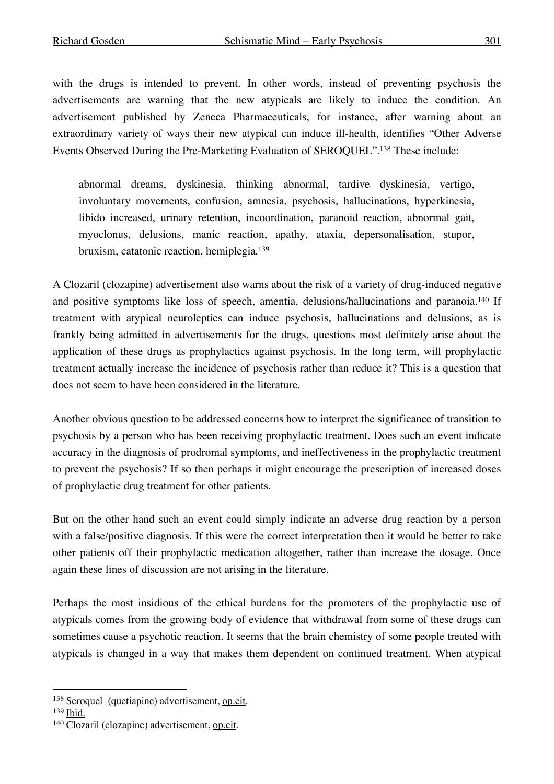with the drugs is intended to prevent. In other words, instead of preventing psychosis the advertisements are warning that the new atypicals are likely to induce the condition. An advertisement published by Zeneca Pharmaceuticals, for instance, after warning about an extraordinary variety of ways their new atypical can induce ill-health, identifies "Other Adverse Events Observed During the Pre-Marketing Evaluation of SEROQUEL". <sup>138</sup> These include:

abnormal dreams, dyskinesia, thinking abnormal, tardive dyskinesia, vertigo, involuntary movements, confusion, amnesia, psychosis, hallucinations, hyperkinesia, libido increased, urinary retention, incoordination, paranoid reaction, abnormal gait, myoclonus, delusions, manic reaction, apathy, ataxia, depersonalisation, stupor, bruxism, catatonic reaction, hemiplegia. 139

A Clozaril (clozapine) advertisement also warns about the risk of a variety of drug-induced negative and positive symptoms like loss of speech, amentia, delusions/hallucinations and paranoia.140 If treatment with atypical neuroleptics can induce psychosis, hallucinations and delusions, as is frankly being admitted in advertisements for the drugs, questions most definitely arise about the application of these drugs as prophylactics against psychosis. In the long term, will prophylactic treatment actually increase the incidence of psychosis rather than reduce it? This is a question that does not seem to have been considered in the literature.

Another obvious question to be addressed concerns how to interpret the significance of transition to psychosis by a person who has been receiving prophylactic treatment. Does such an event indicate accuracy in the diagnosis of prodromal symptoms, and ineffectiveness in the prophylactic treatment to prevent the psychosis? If so then perhaps it might encourage the prescription of increased doses of prophylactic drug treatment for other patients.

But on the other hand such an event could simply indicate an adverse drug reaction by a person with a false/positive diagnosis. If this were the correct interpretation then it would be better to take other patients off their prophylactic medication altogether, rather than increase the dosage. Once again these lines of discussion are not arising in the literature.

Perhaps the most insidious of the ethical burdens for the promoters of the prophylactic use of atypicals comes from the growing body of evidence that withdrawal from some of these drugs can sometimes cause a psychotic reaction. It seems that the brain chemistry of some people treated with atypicals is changed in a way that makes them dependent on continued treatment. When atypical

<sup>138</sup> Seroquel (quetiapine) advertisement, op.cit.

<sup>139</sup> Ibid.

<sup>140</sup> Clozaril (clozapine) advertisement, op.cit.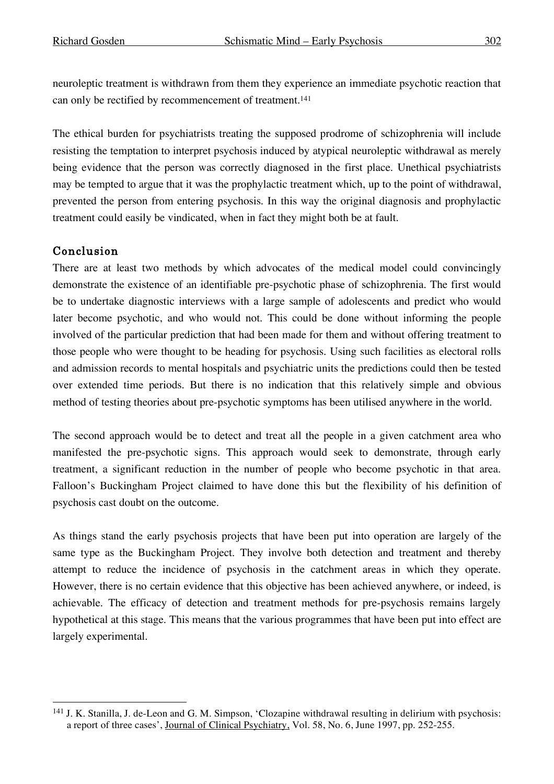neuroleptic treatment is withdrawn from them they experience an immediate psychotic reaction that can only be rectified by recommencement of treatment. 141

The ethical burden for psychiatrists treating the supposed prodrome of schizophrenia will include resisting the temptation to interpret psychosis induced by atypical neuroleptic withdrawal as merely being evidence that the person was correctly diagnosed in the first place. Unethical psychiatrists may be tempted to argue that it was the prophylactic treatment which, up to the point of withdrawal, prevented the person from entering psychosis. In this way the original diagnosis and prophylactic treatment could easily be vindicated, when in fact they might both be at fault.

# Conclusion

There are at least two methods by which advocates of the medical model could convincingly demonstrate the existence of an identifiable pre-psychotic phase of schizophrenia. The first would be to undertake diagnostic interviews with a large sample of adolescents and predict who would later become psychotic, and who would not. This could be done without informing the people involved of the particular prediction that had been made for them and without offering treatment to those people who were thought to be heading for psychosis. Using such facilities as electoral rolls and admission records to mental hospitals and psychiatric units the predictions could then be tested over extended time periods. But there is no indication that this relatively simple and obvious method of testing theories about pre-psychotic symptoms has been utilised anywhere in the world.

The second approach would be to detect and treat all the people in a given catchment area who manifested the pre-psychotic signs. This approach would seek to demonstrate, through early treatment, a significant reduction in the number of people who become psychotic in that area. Falloon's Buckingham Project claimed to have done this but the flexibility of his definition of psychosis cast doubt on the outcome.

As things stand the early psychosis projects that have been put into operation are largely of the same type as the Buckingham Project. They involve both detection and treatment and thereby attempt to reduce the incidence of psychosis in the catchment areas in which they operate. However, there is no certain evidence that this objective has been achieved anywhere, or indeed, is achievable. The efficacy of detection and treatment methods for pre-psychosis remains largely hypothetical at this stage. This means that the various programmes that have been put into effect are largely experimental.

 <sup>141</sup> J. K. Stanilla, J. de-Leon and G. M. Simpson, 'Clozapine withdrawal resulting in delirium with psychosis: a report of three cases', Journal of Clinical Psychiatry, Vol. 58, No. 6, June 1997, pp. 252-255.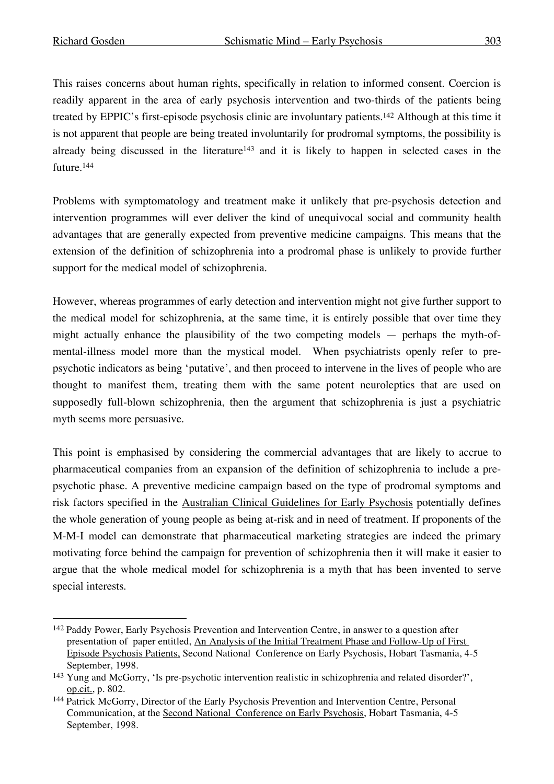This raises concerns about human rights, specifically in relation to informed consent. Coercion is readily apparent in the area of early psychosis intervention and two-thirds of the patients being treated by EPPIC's first-episode psychosis clinic are involuntary patients. <sup>142</sup> Although at this time it is not apparent that people are being treated involuntarily for prodromal symptoms, the possibility is already being discussed in the literature<sup>143</sup> and it is likely to happen in selected cases in the future. 144

Problems with symptomatology and treatment make it unlikely that pre-psychosis detection and intervention programmes will ever deliver the kind of unequivocal social and community health advantages that are generally expected from preventive medicine campaigns. This means that the extension of the definition of schizophrenia into a prodromal phase is unlikely to provide further support for the medical model of schizophrenia.

However, whereas programmes of early detection and intervention might not give further support to the medical model for schizophrenia, at the same time, it is entirely possible that over time they might actually enhance the plausibility of the two competing models — perhaps the myth-ofmental-illness model more than the mystical model. When psychiatrists openly refer to prepsychotic indicators as being 'putative', and then proceed to intervene in the lives of people who are thought to manifest them, treating them with the same potent neuroleptics that are used on supposedly full-blown schizophrenia, then the argument that schizophrenia is just a psychiatric myth seems more persuasive.

This point is emphasised by considering the commercial advantages that are likely to accrue to pharmaceutical companies from an expansion of the definition of schizophrenia to include a prepsychotic phase. A preventive medicine campaign based on the type of prodromal symptoms and risk factors specified in the Australian Clinical Guidelines for Early Psychosis potentially defines the whole generation of young people as being at-risk and in need of treatment. If proponents of the M-M-I model can demonstrate that pharmaceutical marketing strategies are indeed the primary motivating force behind the campaign for prevention of schizophrenia then it will make it easier to argue that the whole medical model for schizophrenia is a myth that has been invented to serve special interests.

 <sup>142</sup> Paddy Power, Early Psychosis Prevention and Intervention Centre, in answer to a question after presentation of paper entitled, An Analysis of the Initial Treatment Phase and Follow-Up of First Episode Psychosis Patients, Second National Conference on Early Psychosis, Hobart Tasmania, 4-5 September, 1998.

<sup>143</sup> Yung and McGorry, 'Is pre-psychotic intervention realistic in schizophrenia and related disorder?', op.cit., p. 802.

<sup>144</sup> Patrick McGorry, Director of the Early Psychosis Prevention and Intervention Centre, Personal Communication, at the Second National Conference on Early Psychosis, Hobart Tasmania, 4-5 September, 1998.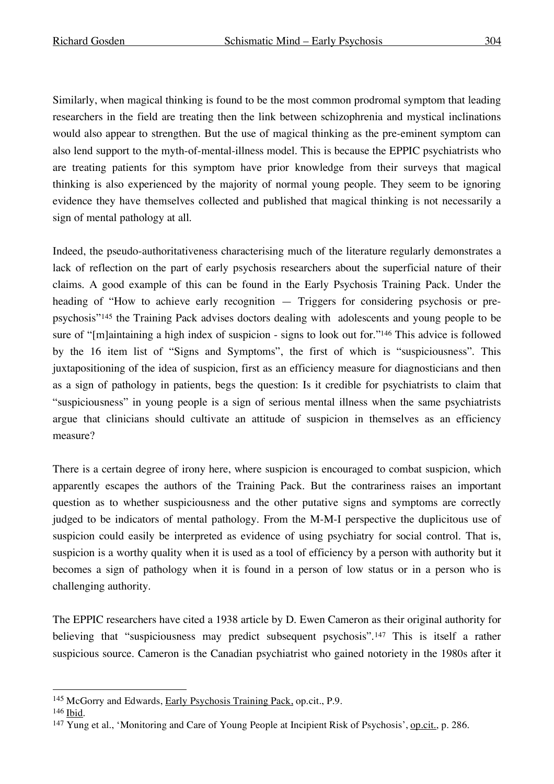Similarly, when magical thinking is found to be the most common prodromal symptom that leading researchers in the field are treating then the link between schizophrenia and mystical inclinations would also appear to strengthen. But the use of magical thinking as the pre-eminent symptom can also lend support to the myth-of-mental-illness model. This is because the EPPIC psychiatrists who are treating patients for this symptom have prior knowledge from their surveys that magical thinking is also experienced by the majority of normal young people. They seem to be ignoring evidence they have themselves collected and published that magical thinking is not necessarily a sign of mental pathology at all.

Indeed, the pseudo-authoritativeness characterising much of the literature regularly demonstrates a lack of reflection on the part of early psychosis researchers about the superficial nature of their claims. A good example of this can be found in the Early Psychosis Training Pack. Under the heading of "How to achieve early recognition — Triggers for considering psychosis or prepsychosis"145 the Training Pack advises doctors dealing with adolescents and young people to be sure of "[m]aintaining a high index of suspicion - signs to look out for."146 This advice is followed by the 16 item list of "Signs and Symptoms", the first of which is "suspiciousness". This juxtapositioning of the idea of suspicion, first as an efficiency measure for diagnosticians and then as a sign of pathology in patients, begs the question: Is it credible for psychiatrists to claim that "suspiciousness" in young people is a sign of serious mental illness when the same psychiatrists argue that clinicians should cultivate an attitude of suspicion in themselves as an efficiency measure?

There is a certain degree of irony here, where suspicion is encouraged to combat suspicion, which apparently escapes the authors of the Training Pack. But the contrariness raises an important question as to whether suspiciousness and the other putative signs and symptoms are correctly judged to be indicators of mental pathology. From the M-M-I perspective the duplicitous use of suspicion could easily be interpreted as evidence of using psychiatry for social control. That is, suspicion is a worthy quality when it is used as a tool of efficiency by a person with authority but it becomes a sign of pathology when it is found in a person of low status or in a person who is challenging authority.

The EPPIC researchers have cited a 1938 article by D. Ewen Cameron as their original authority for believing that "suspiciousness may predict subsequent psychosis".<sup>147</sup> This is itself a rather suspicious source. Cameron is the Canadian psychiatrist who gained notoriety in the 1980s after it

 <sup>145</sup> McGorry and Edwards, Early Psychosis Training Pack, op.cit., P.9.

<sup>146</sup> Ibid.

<sup>&</sup>lt;sup>147</sup> Yung et al., 'Monitoring and Care of Young People at Incipient Risk of Psychosis', op.cit., p. 286.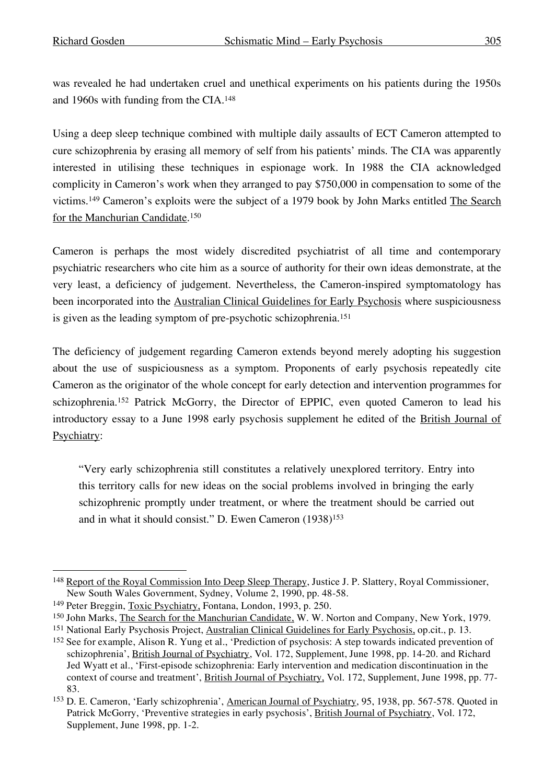was revealed he had undertaken cruel and unethical experiments on his patients during the 1950s and 1960s with funding from the CIA. 148

Using a deep sleep technique combined with multiple daily assaults of ECT Cameron attempted to cure schizophrenia by erasing all memory of self from his patients' minds. The CIA was apparently interested in utilising these techniques in espionage work. In 1988 the CIA acknowledged complicity in Cameron's work when they arranged to pay \$750,000 in compensation to some of the victims.<sup>149</sup> Cameron's exploits were the subject of a 1979 book by John Marks entitled The Search for the Manchurian Candidate. 150

Cameron is perhaps the most widely discredited psychiatrist of all time and contemporary psychiatric researchers who cite him as a source of authority for their own ideas demonstrate, at the very least, a deficiency of judgement. Nevertheless, the Cameron-inspired symptomatology has been incorporated into the Australian Clinical Guidelines for Early Psychosis where suspiciousness is given as the leading symptom of pre-psychotic schizophrenia.151

The deficiency of judgement regarding Cameron extends beyond merely adopting his suggestion about the use of suspiciousness as a symptom. Proponents of early psychosis repeatedly cite Cameron as the originator of the whole concept for early detection and intervention programmes for schizophrenia.<sup>152</sup> Patrick McGorry, the Director of EPPIC, even quoted Cameron to lead his introductory essay to a June 1998 early psychosis supplement he edited of the British Journal of Psychiatry:

"Very early schizophrenia still constitutes a relatively unexplored territory. Entry into this territory calls for new ideas on the social problems involved in bringing the early schizophrenic promptly under treatment, or where the treatment should be carried out and in what it should consist." D. Ewen Cameron (1938)153

<sup>&</sup>lt;sup>148</sup> Report of the Royal Commission Into Deep Sleep Therapy, Justice J. P. Slattery, Royal Commissioner, New South Wales Government, Sydney, Volume 2, 1990, pp. 48-58.

<sup>149</sup> Peter Breggin, Toxic Psychiatry, Fontana, London, 1993, p. 250.

<sup>150</sup> John Marks, The Search for the Manchurian Candidate, W. W. Norton and Company, New York, 1979.

<sup>151</sup> National Early Psychosis Project, Australian Clinical Guidelines for Early Psychosis, op.cit., p. 13.

<sup>152</sup> See for example, Alison R. Yung et al., 'Prediction of psychosis: A step towards indicated prevention of schizophrenia', British Journal of Psychiatry, Vol. 172, Supplement, June 1998, pp. 14-20. and Richard Jed Wyatt et al., 'First-episode schizophrenia: Early intervention and medication discontinuation in the context of course and treatment', British Journal of Psychiatry, Vol. 172, Supplement, June 1998, pp. 77- 83.

<sup>153</sup> D. E. Cameron, 'Early schizophrenia', American Journal of Psychiatry, 95, 1938, pp. 567-578. Quoted in Patrick McGorry, 'Preventive strategies in early psychosis', British Journal of Psychiatry, Vol. 172, Supplement, June 1998, pp. 1-2.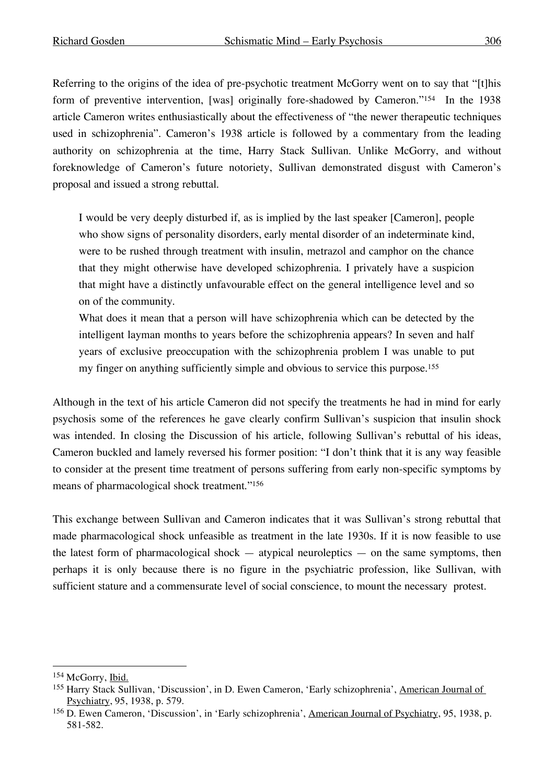Referring to the origins of the idea of pre-psychotic treatment McGorry went on to say that "[t]his form of preventive intervention, [was] originally fore-shadowed by Cameron."<sup>154</sup> In the 1938 article Cameron writes enthusiastically about the effectiveness of "the newer therapeutic techniques used in schizophrenia". Cameron's 1938 article is followed by a commentary from the leading authority on schizophrenia at the time, Harry Stack Sullivan. Unlike McGorry, and without foreknowledge of Cameron's future notoriety, Sullivan demonstrated disgust with Cameron's proposal and issued a strong rebuttal.

I would be very deeply disturbed if, as is implied by the last speaker [Cameron], people who show signs of personality disorders, early mental disorder of an indeterminate kind, were to be rushed through treatment with insulin, metrazol and camphor on the chance that they might otherwise have developed schizophrenia. I privately have a suspicion that might have a distinctly unfavourable effect on the general intelligence level and so on of the community.

What does it mean that a person will have schizophrenia which can be detected by the intelligent layman months to years before the schizophrenia appears? In seven and half years of exclusive preoccupation with the schizophrenia problem I was unable to put my finger on anything sufficiently simple and obvious to service this purpose. 155

Although in the text of his article Cameron did not specify the treatments he had in mind for early psychosis some of the references he gave clearly confirm Sullivan's suspicion that insulin shock was intended. In closing the Discussion of his article, following Sullivan's rebuttal of his ideas, Cameron buckled and lamely reversed his former position: "I don't think that it is any way feasible to consider at the present time treatment of persons suffering from early non-specific symptoms by means of pharmacological shock treatment."156

This exchange between Sullivan and Cameron indicates that it was Sullivan's strong rebuttal that made pharmacological shock unfeasible as treatment in the late 1930s. If it is now feasible to use the latest form of pharmacological shock  $-$  atypical neuroleptics  $-$  on the same symptoms, then perhaps it is only because there is no figure in the psychiatric profession, like Sullivan, with sufficient stature and a commensurate level of social conscience, to mount the necessary protest.

<sup>154</sup> McGorry, Ibid.

<sup>155</sup> Harry Stack Sullivan, 'Discussion', in D. Ewen Cameron, 'Early schizophrenia', American Journal of Psychiatry, 95, 1938, p. 579.

<sup>156</sup> D. Ewen Cameron, 'Discussion', in 'Early schizophrenia', American Journal of Psychiatry, 95, 1938, p. 581-582.